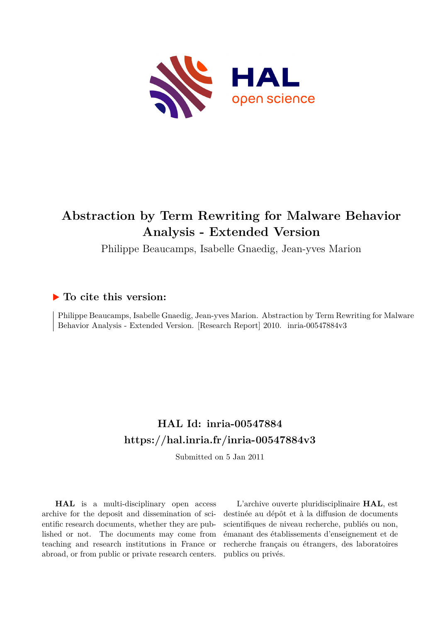

# **Abstraction by Term Rewriting for Malware Behavior Analysis - Extended Version**

Philippe Beaucamps, Isabelle Gnaedig, Jean-yves Marion

# **To cite this version:**

Philippe Beaucamps, Isabelle Gnaedig, Jean-yves Marion. Abstraction by Term Rewriting for Malware Behavior Analysis - Extended Version. [Research Report] 2010. inria-00547884v3

# **HAL Id: inria-00547884 <https://hal.inria.fr/inria-00547884v3>**

Submitted on 5 Jan 2011

**HAL** is a multi-disciplinary open access archive for the deposit and dissemination of scientific research documents, whether they are published or not. The documents may come from teaching and research institutions in France or abroad, or from public or private research centers.

L'archive ouverte pluridisciplinaire **HAL**, est destinée au dépôt et à la diffusion de documents scientifiques de niveau recherche, publiés ou non, émanant des établissements d'enseignement et de recherche français ou étrangers, des laboratoires publics ou privés.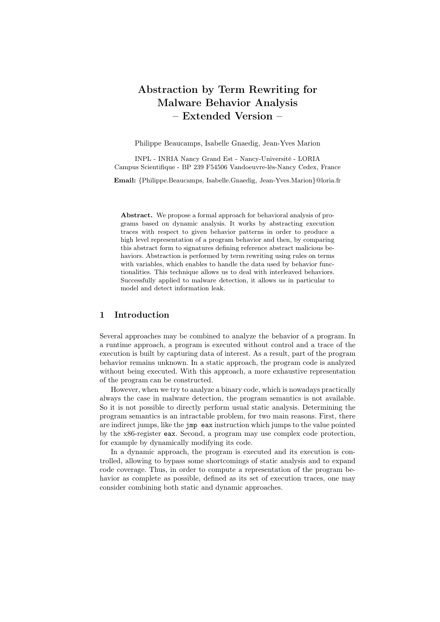# Abstraction by Term Rewriting for Malware Behavior Analysis – Extended Version –

Philippe Beaucamps, Isabelle Gnaedig, Jean-Yves Marion

INPL - INRIA Nancy Grand Est - Nancy-Université - LORIA Campus Scientifique - BP 239 F54506 Vandoeuvre-lès-Nancy Cedex, France

Email: {Philippe.Beaucamps, Isabelle.Gnaedig, Jean-Yves.Marion}@loria.fr

Abstract. We propose a formal approach for behavioral analysis of programs based on dynamic analysis. It works by abstracting execution traces with respect to given behavior patterns in order to produce a high level representation of a program behavior and then, by comparing this abstract form to signatures defining reference abstract malicious behaviors. Abstraction is performed by term rewriting using rules on terms with variables, which enables to handle the data used by behavior functionalities. This technique allows us to deal with interleaved behaviors. Successfully applied to malware detection, it allows us in particular to model and detect information leak.

## 1 Introduction

Several approaches may be combined to analyze the behavior of a program. In a runtime approach, a program is executed without control and a trace of the execution is built by capturing data of interest. As a result, part of the program behavior remains unknown. In a static approach, the program code is analyzed without being executed. With this approach, a more exhaustive representation of the program can be constructed.

However, when we try to analyze a binary code, which is nowadays practically always the case in malware detection, the program semantics is not available. So it is not possible to directly perform usual static analysis. Determining the program semantics is an intractable problem, for two main reasons. First, there are indirect jumps, like the jmp eax instruction which jumps to the value pointed by the x86-register eax. Second, a program may use complex code protection, for example by dynamically modifying its code.

In a dynamic approach, the program is executed and its execution is controlled, allowing to bypass some shortcomings of static analysis and to expand code coverage. Thus, in order to compute a representation of the program behavior as complete as possible, defined as its set of execution traces, one may consider combining both static and dynamic approaches.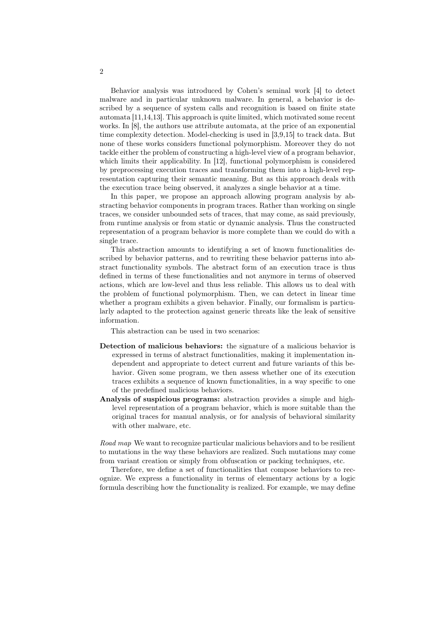Behavior analysis was introduced by Cohen's seminal work [4] to detect malware and in particular unknown malware. In general, a behavior is described by a sequence of system calls and recognition is based on finite state automata [11,14,13]. This approach is quite limited, which motivated some recent works. In [8], the authors use attribute automata, at the price of an exponential time complexity detection. Model-checking is used in [3,9,15] to track data. But none of these works considers functional polymorphism. Moreover they do not tackle either the problem of constructing a high-level view of a program behavior, which limits their applicability. In [12], functional polymorphism is considered by preprocessing execution traces and transforming them into a high-level representation capturing their semantic meaning. But as this approach deals with the execution trace being observed, it analyzes a single behavior at a time.

In this paper, we propose an approach allowing program analysis by abstracting behavior components in program traces. Rather than working on single traces, we consider unbounded sets of traces, that may come, as said previously, from runtime analysis or from static or dynamic analysis. Thus the constructed representation of a program behavior is more complete than we could do with a single trace.

This abstraction amounts to identifying a set of known functionalities described by behavior patterns, and to rewriting these behavior patterns into abstract functionality symbols. The abstract form of an execution trace is thus defined in terms of these functionalities and not anymore in terms of observed actions, which are low-level and thus less reliable. This allows us to deal with the problem of functional polymorphism. Then, we can detect in linear time whether a program exhibits a given behavior. Finally, our formalism is particularly adapted to the protection against generic threats like the leak of sensitive information.

This abstraction can be used in two scenarios:

- Detection of malicious behaviors: the signature of a malicious behavior is expressed in terms of abstract functionalities, making it implementation independent and appropriate to detect current and future variants of this behavior. Given some program, we then assess whether one of its execution traces exhibits a sequence of known functionalities, in a way specific to one of the predefined malicious behaviors.
- Analysis of suspicious programs: abstraction provides a simple and highlevel representation of a program behavior, which is more suitable than the original traces for manual analysis, or for analysis of behavioral similarity with other malware, etc.

*Road map* We want to recognize particular malicious behaviors and to be resilient to mutations in the way these behaviors are realized. Such mutations may come from variant creation or simply from obfuscation or packing techniques, etc.

Therefore, we define a set of functionalities that compose behaviors to recognize. We express a functionality in terms of elementary actions by a logic formula describing how the functionality is realized. For example, we may define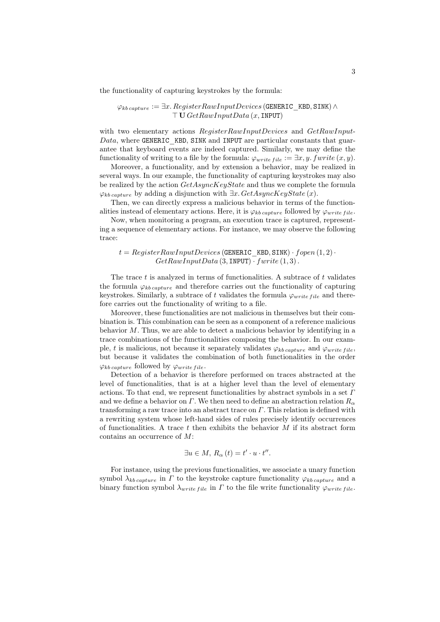the functionality of capturing keystrokes by the formula:

 $\varphi_{kb\, capture} := \exists x. \, Register RawInput Devices$  (GENERIC KBD, SINK)  $\wedge$  $\top U GetRawInputData(x, \text{INPUT})$ 

with two elementary actions  $Register RawInputDevices$  and  $GetRawInput$  $Data$ , where GENERIC KBD, SINK and INPUT are particular constants that guarantee that keyboard events are indeed captured. Similarly, we may define the functionality of writing to a file by the formula:  $\varphi_{write\ file} := \exists x, y \ fwrite(x, y)$ .

Moreover, a functionality, and by extension a behavior, may be realized in several ways. In our example, the functionality of capturing keystrokes may also be realized by the action  $GetAsyncKeyState$  and thus we complete the formula  $\varphi_{kb\,caature}$  by adding a disjunction with  $\exists x. GetAsyncKeyState(x)$ .

Then, we can directly express a malicious behavior in terms of the functionalities instead of elementary actions. Here, it is  $\varphi_{kb\, capture}$  followed by  $\varphi_{write\ file}.$ 

Now, when monitoring a program, an execution trace is captured, representing a sequence of elementary actions. For instance, we may observe the following trace:

#### $t = RegisterRawInputDevices$  (GENERIC KBD, SINK) · fopen  $(1, 2)$ ·  $GetRawInputData(3, \text{INDUT}) \cdot fwrite(1, 3)$ .

The trace  $t$  is analyzed in terms of functionalities. A subtrace of  $t$  validates the formula  $\varphi_{kb\, capture}$  and therefore carries out the functionality of capturing keystrokes. Similarly, a subtrace of t validates the formula  $\varphi_{write\ file}$  and therefore carries out the functionality of writing to a file.

Moreover, these functionalities are not malicious in themselves but their combination is. This combination can be seen as a component of a reference malicious behavior  $M$ . Thus, we are able to detect a malicious behavior by identifying in a trace combinations of the functionalities composing the behavior. In our example, t is malicious, not because it separately validates  $\varphi_{kb\,capture}$  and  $\varphi_{write\, file}$ , but because it validates the combination of both functionalities in the order  $\varphi_{kb\,capture}$  followed by  $\varphi_{write\, file}.$ 

Detection of a behavior is therefore performed on traces abstracted at the level of functionalities, that is at a higher level than the level of elementary actions. To that end, we represent functionalities by abstract symbols in a set  $\Gamma$ and we define a behavior on Γ. We then need to define an abstraction relation  $R_{\alpha}$ transforming a raw trace into an abstract trace on  $\Gamma$ . This relation is defined with a rewriting system whose left-hand sides of rules precisely identify occurrences of functionalities. A trace t then exhibits the behavior  $M$  if its abstract form contains an occurrence of M:

$$
\exists u \in M, R_{\alpha}(t) = t' \cdot u \cdot t''.
$$

For instance, using the previous functionalities, we associate a unary function symbol  $\lambda_{kb\,canture}$  in  $\Gamma$  to the keystroke capture functionality  $\varphi_{kb\,caature}$  and a binary function symbol  $\lambda_{write\ file}$  in  $\Gamma$  to the file write functionality  $\varphi_{write\ file}$ .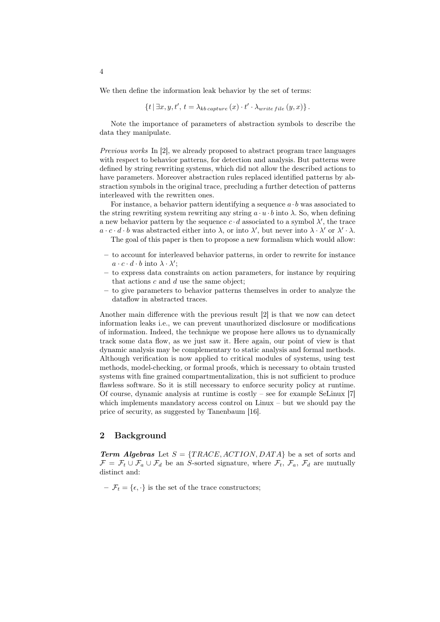We then define the information leak behavior by the set of terms:

$$
\{t \mid \exists x, y, t', t = \lambda_{kb\ capture}(x) \cdot t' \cdot \lambda_{write\ file}(y, x)\}.
$$

Note the importance of parameters of abstraction symbols to describe the data they manipulate.

*Previous works* In [2], we already proposed to abstract program trace languages with respect to behavior patterns, for detection and analysis. But patterns were defined by string rewriting systems, which did not allow the described actions to have parameters. Moreover abstraction rules replaced identified patterns by abstraction symbols in the original trace, precluding a further detection of patterns interleaved with the rewritten ones.

For instance, a behavior pattern identifying a sequence  $a \cdot b$  was associated to the string rewriting system rewriting any string  $a \cdot u \cdot b$  into  $\lambda$ . So, when defining a new behavior pattern by the sequence  $c \cdot d$  associated to a symbol  $\lambda'$ , the trace  $a \cdot c \cdot d \cdot b$  was abstracted either into  $\lambda$ , or into  $\lambda'$ , but never into  $\lambda \cdot \lambda'$  or  $\lambda' \cdot \lambda$ .

The goal of this paper is then to propose a new formalism which would allow:

- to account for interleaved behavior patterns, in order to rewrite for instance  $a \cdot c \cdot d \cdot b$  into  $\lambda \cdot \lambda'$ ;
- to express data constraints on action parameters, for instance by requiring that actions  $c$  and  $d$  use the same object;
- to give parameters to behavior patterns themselves in order to analyze the dataflow in abstracted traces.

Another main difference with the previous result [2] is that we now can detect information leaks i.e., we can prevent unauthorized disclosure or modifications of information. Indeed, the technique we propose here allows us to dynamically track some data flow, as we just saw it. Here again, our point of view is that dynamic analysis may be complementary to static analysis and formal methods. Although verification is now applied to critical modules of systems, using test methods, model-checking, or formal proofs, which is necessary to obtain trusted systems with fine grained compartmentalization, this is not sufficient to produce flawless software. So it is still necessary to enforce security policy at runtime. Of course, dynamic analysis at runtime is costly – see for example SeLinux [7] which implements mandatory access control on Linux – but we should pay the price of security, as suggested by Tanenbaum [16].

#### 2 Background

**Term Algebras** Let  $S = \{TRACE, ACTION, DATA\}$  be a set of sorts and  $\mathcal{F} = \mathcal{F}_t \cup \mathcal{F}_a \cup \mathcal{F}_d$  be an S-sorted signature, where  $\mathcal{F}_t$ ,  $\mathcal{F}_a$ ,  $\mathcal{F}_d$  are mutually distinct and:

 $-\mathcal{F}_t = \{\epsilon, \cdot\}$  is the set of the trace constructors;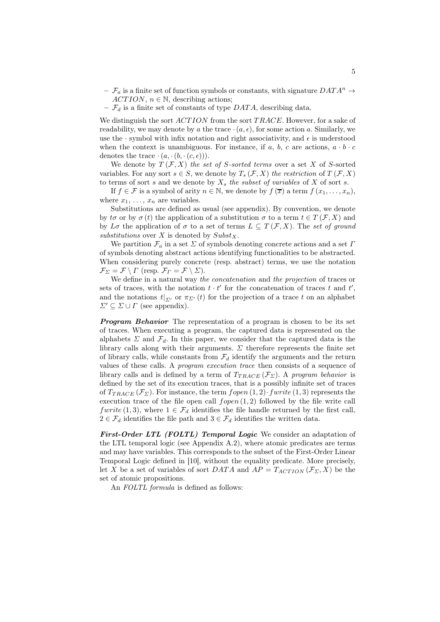- $-\mathcal{F}_a$  is a finite set of function symbols or constants, with signature  $DATA^n \rightarrow$  $ACTION, n \in \mathbb{N}$ , describing actions;
- $\mathcal{F}_d$  is a finite set of constants of type DATA, describing data.

We distinguish the sort  $ACTION$  from the sort  $TRACE$ . However, for a sake of readability, we may denote by a the trace  $\cdot(a, \epsilon)$ , for some action a. Similarly, we use the  $\cdot$  symbol with infix notation and right associativity, and  $\epsilon$  is understood when the context is unambiguous. For instance, if a, b, c are actions,  $a \cdot b \cdot c$ denotes the trace  $\cdot (a, \cdot (b, \cdot (c, \epsilon)))$ .

We denote by  $T(\mathcal{F}, X)$  *the set of S-sorted terms* over a set X of S-sorted variables. For any sort  $s \in S$ , we denote by  $T_s(\mathcal{F}, X)$  *the restriction* of  $T(\mathcal{F}, X)$ to terms of sort s and we denote by  $X_s$  the subset of variables of X of sort s.

If  $f \in \mathcal{F}$  is a symbol of arity  $n \in \mathbb{N}$ , we denote by  $f(\overline{x})$  a term  $f(x_1, \ldots, x_n)$ , where  $x_1, \ldots, x_n$  are variables.

Substitutions are defined as usual (see appendix). By convention, we denote by to or by  $\sigma(t)$  the application of a substitution  $\sigma$  to a term  $t \in T(\mathcal{F}, X)$  and by  $L\sigma$  the application of  $\sigma$  to a set of terms  $L \subseteq T(\mathcal{F}, X)$ . The *set of ground* substitutions over  $X$  is denoted by  $Subst_X$ .

We partition  $\mathcal{F}_a$  in a set  $\Sigma$  of symbols denoting concrete actions and a set  $\Gamma$ of symbols denoting abstract actions identifying functionalities to be abstracted. When considering purely concrete (resp. abstract) terms, we use the notation  $\mathcal{F}_{\Sigma} = \mathcal{F} \setminus \Gamma$  (resp.  $\mathcal{F}_{\Gamma} = \mathcal{F} \setminus \Sigma$ ).

We define in a natural way *the concatenation* and *the projection* of traces or sets of traces, with the notation  $t \cdot t'$  for the concatenation of traces t and  $t'$ , and the notations  $t|_{\Sigma'}$  or  $\pi_{\Sigma'}(t)$  for the projection of a trace t on an alphabet  $\Sigma' \subseteq \Sigma \cup \Gamma$  (see appendix).

**Program Behavior** The representation of a program is chosen to be its set of traces. When executing a program, the captured data is represented on the alphabets  $\Sigma$  and  $\mathcal{F}_d$ . In this paper, we consider that the captured data is the library calls along with their arguments.  $\Sigma$  therefore represents the finite set of library calls, while constants from  $\mathcal{F}_d$  identify the arguments and the return values of these calls. A *program execution trace* then consists of a sequence of library calls and is defined by a term of  $T_{TRACE}(\mathcal{F}_{\Sigma})$ . A *program behavior* is defined by the set of its execution traces, that is a possibly infinite set of traces of  $T_{TRACE}(\mathcal{F}_{\Sigma})$ . For instance, the term  $fopen(1,2)$  furrite  $(1,3)$  represents the execution trace of the file open call  $fopen(1,2)$  followed by the file write call fwrite (1, 3), where  $1 \in \mathcal{F}_d$  identifies the file handle returned by the first call,  $2 \in \mathcal{F}_d$  identifies the file path and  $3 \in \mathcal{F}_d$  identifies the written data.

First-Order LTL (FOLTL) Temporal Logic We consider an adaptation of the LTL temporal logic (see Appendix A.2), where atomic predicates are terms and may have variables. This corresponds to the subset of the First-Order Linear Temporal Logic defined in [10], without the equality predicate. More precisely, let X be a set of variables of sort DATA and  $AP = T_{ACTION}(\mathcal{F}_{\Sigma}, X)$  be the set of atomic propositions.

An *FOLTL formula* is defined as follows: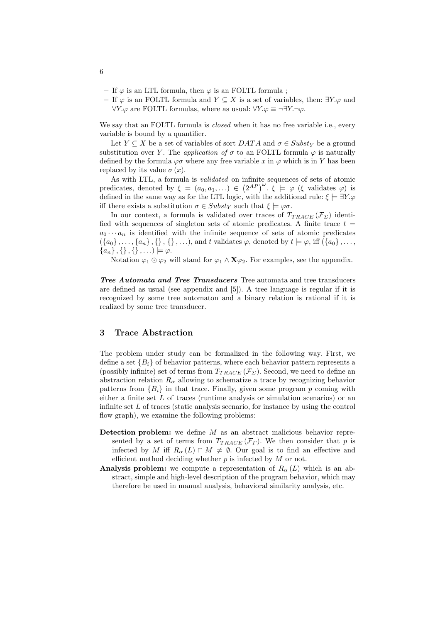- If  $\varphi$  is an LTL formula, then  $\varphi$  is an FOLTL formula;
- If  $\varphi$  is an FOLTL formula and  $Y \subseteq X$  is a set of variables, then:  $\exists Y \varphi$  and  $\forall Y \varphi$  are FOLTL formulas, where as usual:  $\forall Y \varphi \equiv \neg \exists Y \neg \varphi$ .

We say that an FOLTL formula is *closed* when it has no free variable i.e., every variable is bound by a quantifier.

Let  $Y \subseteq X$  be a set of variables of sort  $DATA$  and  $\sigma \in Subst_Y$  be a ground substitution over Y. The *application of*  $\sigma$  to an FOLTL formula  $\varphi$  is naturally defined by the formula  $\varphi \sigma$  where any free variable x in  $\varphi$  which is in Y has been replaced by its value  $\sigma(x)$ .

As with LTL, a formula is *validated* on infinite sequences of sets of atomic predicates, denoted by  $\xi = (a_0, a_1, \ldots) \in (2^{AP})^{\omega}$ .  $\xi \models \varphi$  ( $\xi$  validates  $\varphi$ ) is defined in the same way as for the LTL logic, with the additional rule:  $\xi \models \exists Y \phi$ iff there exists a substitution  $\sigma \in Subst_Y$  such that  $\xi \models \varphi \sigma$ .

In our context, a formula is validated over traces of  $T_{TRACE}(\mathcal{F}_{\Sigma})$  identified with sequences of singleton sets of atomic predicates. A finite trace  $t =$  $a_0 \cdots a_n$  is identified with the infinite sequence of sets of atomic predicates  $(\{a_0\},\ldots,\{a_n\},\{\},\{\},\ldots)$ , and t validates  $\varphi$ , denoted by  $t \models \varphi$ , iff  $(\{a_0\},\ldots,\{a_n\},\{\},\{\},\ldots)$  ${a_n}, {}, {}, {}, \ldots) \models \varphi.$ 

Notation  $\varphi_1 \odot \varphi_2$  will stand for  $\varphi_1 \wedge \mathbf{X} \varphi_2$ . For examples, see the appendix.

Tree Automata and Tree Transducers Tree automata and tree transducers are defined as usual (see appendix and [5]). A tree language is regular if it is recognized by some tree automaton and a binary relation is rational if it is realized by some tree transducer.

## 3 Trace Abstraction

The problem under study can be formalized in the following way. First, we define a set  ${B_i}$  of behavior patterns, where each behavior pattern represents a (possibly infinite) set of terms from  $T_{TRACE}(\mathcal{F}_{\Sigma})$ . Second, we need to define an abstraction relation  $R_{\alpha}$  allowing to schematize a trace by recognizing behavior patterns from  ${B_i}$  in that trace. Finally, given some program p coming with either a finite set  $L$  of traces (runtime analysis or simulation scenarios) or an infinite set  $L$  of traces (static analysis scenario, for instance by using the control flow graph), we examine the following problems:

- Detection problem: we define  $M$  as an abstract malicious behavior represented by a set of terms from  $T_{TRACE}(\mathcal{F}_\Gamma)$ . We then consider that p is infected by M iff  $R_{\alpha}(L) \cap M \neq \emptyset$ . Our goal is to find an effective and efficient method deciding whether  $p$  is infected by  $M$  or not.
- **Analysis problem:** we compute a representation of  $R_{\alpha}(L)$  which is an abstract, simple and high-level description of the program behavior, which may therefore be used in manual analysis, behavioral similarity analysis, etc.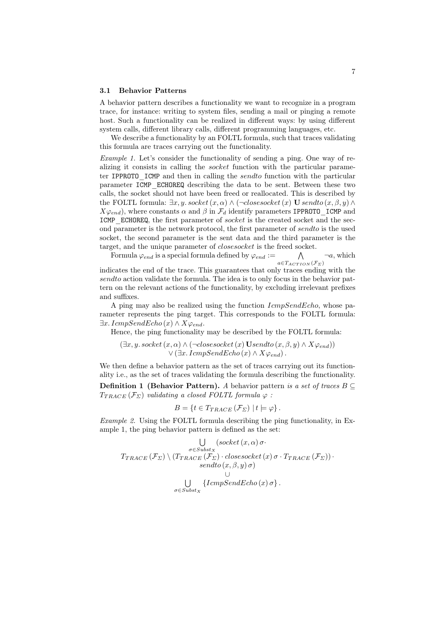#### 3.1 Behavior Patterns

A behavior pattern describes a functionality we want to recognize in a program trace, for instance: writing to system files, sending a mail or pinging a remote host. Such a functionality can be realized in different ways: by using different system calls, different library calls, different programming languages, etc.

We describe a functionality by an FOLTL formula, such that traces validating this formula are traces carrying out the functionality.

*Example 1.* Let's consider the functionality of sending a ping. One way of realizing it consists in calling the socket function with the particular parameter IPPROTO ICMP and then in calling the *sendto* function with the particular parameter ICMP\_ECHOREQ describing the data to be sent. Between these two calls, the socket should not have been freed or reallocated. This is described by the FOLTL formula:  $\exists x, y$ . socket $(x, \alpha) \wedge (\neg \text{closesocket}(x) \mathbf{U} \text{sendto}(x, \beta, y) \wedge$  $X\varphi_{end}$ , where constants  $\alpha$  and  $\beta$  in  $\mathcal{F}_d$  identify parameters IPPROTO ICMP and ICMP\_ECHOREQ, the first parameter of socket is the created socket and the second parameter is the network protocol, the first parameter of sendto is the used socket, the second parameter is the sent data and the third parameter is the target, and the unique parameter of *closesocket* is the freed socket.

Formula  $\varphi_{end}$  is a special formula defined by  $\varphi_{end} := \wedge$  $a \in T_{ACTION}(\mathcal{F}_{\Sigma})$  $\neg a$ , which

indicates the end of the trace. This guarantees that only traces ending with the sendto action validate the formula. The idea is to only focus in the behavior pattern on the relevant actions of the functionality, by excluding irrelevant prefixes and suffixes.

A ping may also be realized using the function IcmpSendEcho, whose parameter represents the ping target. This corresponds to the FOLTL formula:  $\exists x. \; IcmpSendEcho(x) \wedge X\varphi_{end}.$ 

Hence, the ping functionality may be described by the FOLTL formula:

$$
(\exists x, y. \; socket \; (x, \alpha) \land (\neg closesocket \; (x) \; Usendto (x, \beta, y) \land X \varphi_{end}) \lor (\exists x. \; IcmpSendEcho (x) \land X \varphi_{end}).
$$

We then define a behavior pattern as the set of traces carrying out its functionality i.e., as the set of traces validating the formula describing the functionality.

**Definition 1 (Behavior Pattern).** *A* behavior pattern *is a set of traces*  $B \subseteq$  $T_{TRACE}(\mathcal{F}_{\Sigma})$  *validating a closed FOLTL formula*  $\varphi$ :

$$
B = \{ t \in T_{TRACE} (\mathcal{F}_{\Sigma}) \mid t \models \varphi \}.
$$

*Example 2.* Using the FOLTL formula describing the ping functionality, in Example 1, the ping behavior pattern is defined as the set:

$$
\bigcup_{\substack{\sigma \in Subst_{X} \\ \sigma \in Subst_{X}}} (socket(x, \alpha) \sigma \cdot
$$
  
 
$$
T_{TRACE}(\mathcal{F}_{\Sigma}) \setminus (T_{TRACE}(\mathcal{F}_{\Sigma}) \cdot closest \circ (x) \sigma \cdot T_{TRACE}(\mathcal{F}_{\Sigma})) \cdot
$$
  
 
$$
\bigcup_{\substack{\sigma \in Subst_{X} \\ \sigma \in Subst_{X}}} \{TempSendEcho(x) \sigma \}.
$$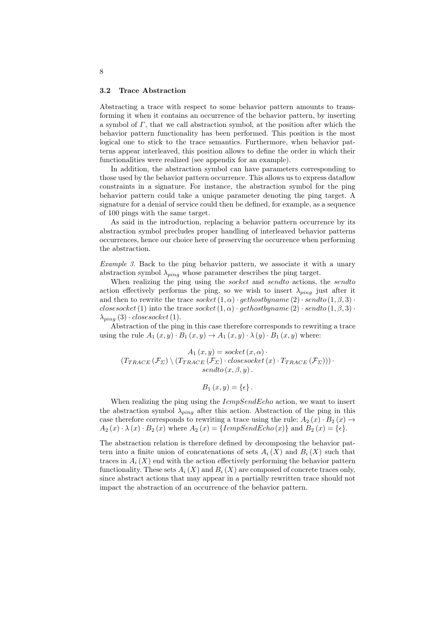#### 3.2 Trace Abstraction

Abstracting a trace with respect to some behavior pattern amounts to transforming it when it contains an occurrence of the behavior pattern, by inserting a symbol of  $\Gamma$ , that we call abstraction symbol, at the position after which the behavior pattern functionality has been performed. This position is the most logical one to stick to the trace semantics. Furthermore, when behavior patterns appear interleaved, this position allows to define the order in which their functionalities were realized (see appendix for an example).

In addition, the abstraction symbol can have parameters corresponding to those used by the behavior pattern occurrence. This allows us to express dataflow constraints in a signature. For instance, the abstraction symbol for the ping behavior pattern could take a unique parameter denoting the ping target. A signature for a denial of service could then be defined, for example, as a sequence of 100 pings with the same target.

As said in the introduction, replacing a behavior pattern occurrence by its abstraction symbol precludes proper handling of interleaved behavior patterns occurrences, hence our choice here of preserving the occurrence when performing the abstraction.

*Example 3.* Back to the ping behavior pattern, we associate it with a unary abstraction symbol  $\lambda_{ping}$  whose parameter describes the ping target.

When realizing the ping using the *socket* and *sendto* actions, the *sendto* action effectively performs the ping, so we wish to insert  $\lambda_{ping}$  just after it and then to rewrite the trace  $socket(1, \alpha) \cdot gethostbyname(2) \cdot sendto(1, \beta, 3) \cdot$ closes ocket (1) into the trace socket  $(1, \alpha) \cdot \text{gethostbyname}(2) \cdot \text{sendto}(1, \beta, 3) \cdot$  $\lambda_{ping}(3) \cdot closestocket(1).$ 

Abstraction of the ping in this case therefore corresponds to rewriting a trace using the rule  $A_1(x, y) \cdot B_1(x, y) \rightarrow A_1(x, y) \cdot \lambda(y) \cdot B_1(x, y)$  where:

$$
A_1(x, y) = socket(x, \alpha) \cdot (T_{TRACE}(\mathcal{F}_{\Sigma}) \setminus (T_{TRACE}(\mathcal{F}_{\Sigma}) \cdot closestect(x) \cdot T_{TRACE}(\mathcal{F}_{\Sigma}))) \cdotsendto (x, \beta, y).
$$

 $B_1(x, y) = \{\epsilon\}.$ 

When realizing the ping using the  $IcmpSendEcho$  action, we want to insert the abstraction symbol  $\lambda_{ping}$  after this action. Abstraction of the ping in this case therefore corresponds to rewriting a trace using the rule:  $A_2(x) \cdot B_2(x) \rightarrow$  $A_2(x) \cdot \lambda(x) \cdot B_2(x)$  where  $A_2(x) = \{TempSendEcho(x)\}\$ and  $B_2(x) = \{\epsilon\}.$ 

The abstraction relation is therefore defined by decomposing the behavior pattern into a finite union of concatenations of sets  $A_i(X)$  and  $B_i(X)$  such that traces in  $A_i(X)$  end with the action effectively performing the behavior pattern functionality. These sets  $A_i(X)$  and  $B_i(X)$  are composed of concrete traces only, since abstract actions that may appear in a partially rewritten trace should not impact the abstraction of an occurrence of the behavior pattern.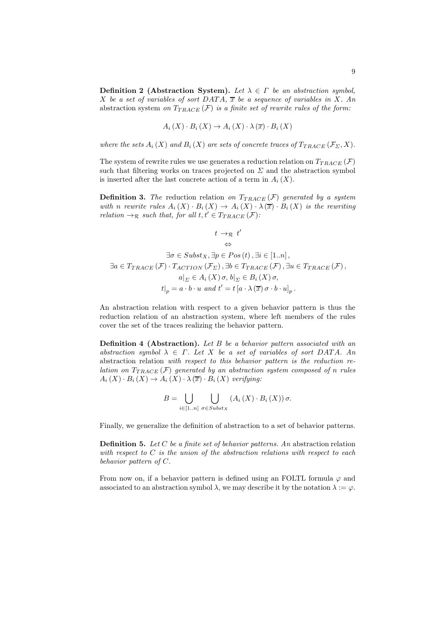Definition 2 (Abstraction System). Let  $\lambda \in \Gamma$  be an abstraction symbol, X be a set of variables of sort  $DATA$ ,  $\overline{x}$  be a sequence of variables in X. An abstraction system *on*  $T_{TRACE}(\mathcal{F})$  *is a finite set of rewrite rules of the form:* 

$$
A_i(X) \cdot B_i(X) \to A_i(X) \cdot \lambda(\overline{x}) \cdot B_i(X)
$$

*where the sets*  $A_i(X)$  *and*  $B_i(X)$  *are sets of concrete traces of*  $T_{TRACE}(\mathcal{F}_{\Sigma}, X)$ *.* 

The system of rewrite rules we use generates a reduction relation on  $T_{TRACE}(\mathcal{F})$ such that filtering works on traces projected on  $\Sigma$  and the abstraction symbol is inserted after the last concrete action of a term in  $A_i(X)$ .

**Definition 3.** The reduction relation on  $T_{TRACE}(\mathcal{F})$  generated by a system with *n rewrite rules*  $A_i(X) \cdot B_i(X) \rightarrow A_i(X) \cdot \lambda(\overline{x}) \cdot B_i(X)$  *is the rewriting relation*  $\rightarrow_{\mathcal{R}}$  *such that, for all*  $t, t' \in T_{TRACE}(\mathcal{F})$ *:* 

$$
t \rightarrow_{\mathcal{R}} t'
$$
\n
$$
\Leftrightarrow
$$
\n
$$
\exists \sigma \in Subst_{X}, \exists p \in Pos(t), \exists i \in [1..n],
$$
\n
$$
\exists a \in T_{TRACE}(\mathcal{F}) \cdot T_{ACTION}(\mathcal{F}_{\Sigma}), \exists b \in T_{TRACE}(\mathcal{F}), \exists u \in T_{TRACE}(\mathcal{F}),
$$
\n
$$
a|_{\Sigma} \in A_{i}(X) \sigma, b|_{\Sigma} \in B_{i}(X) \sigma,
$$
\n
$$
t|_{p} = a \cdot b \cdot u \text{ and } t' = t [a \cdot \lambda(\overline{x}) \sigma \cdot b \cdot u]_{p}.
$$

An abstraction relation with respect to a given behavior pattern is thus the reduction relation of an abstraction system, where left members of the rules cover the set of the traces realizing the behavior pattern.

Definition 4 (Abstraction). *Let* B *be a behavior pattern associated with an abstraction symbol*  $\lambda \in \Gamma$ *. Let* X *be a set of variables of sort DATA. An* abstraction relation *with respect to this behavior pattern is the reduction relation on*  $T_{TRACE}(\mathcal{F})$  generated by an abstraction system composed of n rules  $A_i(X) \cdot B_i(X) \rightarrow A_i(X) \cdot \lambda(\overline{x}) \cdot B_i(X)$  *verifying:* 

$$
B = \bigcup_{i \in [1..n]} \bigcup_{\sigma \in Subst_X} (A_i(X) \cdot B_i(X)) \sigma.
$$

Finally, we generalize the definition of abstraction to a set of behavior patterns.

Definition 5. *Let* C *be a finite set of behavior patterns. An* abstraction relation *with respect to* C *is the union of the abstraction relations with respect to each behavior pattern of* C*.*

From now on, if a behavior pattern is defined using an FOLTL formula  $\varphi$  and associated to an abstraction symbol  $\lambda$ , we may describe it by the notation  $\lambda := \varphi$ .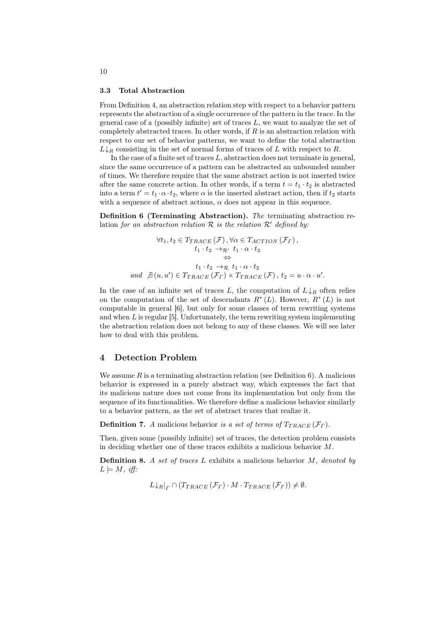#### 3.3 Total Abstraction

From Definition 4, an abstraction relation step with respect to a behavior pattern represents the abstraction of a single occurrence of the pattern in the trace. In the general case of a (possibly infinite) set of traces  $L$ , we want to analyze the set of completely abstracted traces. In other words, if  $R$  is an abstraction relation with respect to our set of behavior patterns, we want to define the total abstraction  $L\downarrow_R$  consisting in the set of normal forms of traces of L with respect to R.

In the case of a finite set of traces  $L$ , abstraction does not terminate in general, since the same occurrence of a pattern can be abstracted an unbounded number of times. We therefore require that the same abstract action is not inserted twice after the same concrete action. In other words, if a term  $t = t_1 \cdot t_2$  is abstracted into a term  $t' = t_1 \cdot \alpha \cdot t_2$ , where  $\alpha$  is the inserted abstract action, then if  $t_2$  starts with a sequence of abstract actions,  $\alpha$  does not appear in this sequence.

Definition 6 (Terminating Abstraction). *The* terminating abstraction relation *for an abstraction relation*  $R$  *is the relation*  $R'$  *defined by:* 

$$
\forall t_1, t_2 \in T_{TRACE}(\mathcal{F}), \forall \alpha \in T_{ACTION}(\mathcal{F}_{\Gamma}),
$$
  
\n
$$
t_1 \cdot t_2 \rightarrow_{\mathcal{R}'} t_1 \cdot \alpha \cdot t_2
$$
  
\n
$$
\Leftrightarrow
$$
  
\n
$$
t_1 \cdot t_2 \rightarrow_{\mathcal{R}} t_1 \cdot \alpha \cdot t_2
$$
  
\nand  $\not\exists (u, u') \in T_{TRACE}(\mathcal{F}_{\Gamma}) \times T_{TRACE}(\mathcal{F}), t_2 = u \cdot \alpha \cdot u'.$ 

In the case of an infinite set of traces L, the computation of  $L \downarrow_R$  often relies on the computation of the set of descendants  $R^*(L)$ . However,  $R^*(L)$  is not computable in general [6], but only for some classes of term rewriting systems and when  $L$  is regular [5]. Unfortunately, the term rewriting system implementing the abstraction relation does not belong to any of these classes. We will see later how to deal with this problem.

#### 4 Detection Problem

We assume R is a terminating abstraction relation (see Definition 6). A malicious behavior is expressed in a purely abstract way, which expresses the fact that its malicious nature does not come from its implementation but only from the sequence of its functionalities. We therefore define a malicious behavior similarly to a behavior pattern, as the set of abstract traces that realize it.

**Definition 7.** *A* malicious behavior *is a set of terms of*  $T_{TRACE}(\mathcal{F}_\Gamma)$ *.* 

Then, given some (possibly infinite) set of traces, the detection problem consists in deciding whether one of these traces exhibits a malicious behavior M.

Definition 8. *A set of traces* L exhibits a malicious behavior M*, denoted by*  $L \models M, \textit{iff}:$ 

 $L\downarrow_R|_{\Gamma} \cap (T_{TRACE}(\mathcal{F}_{\Gamma})\cdot M\cdot T_{TRACE}(\mathcal{F}_{\Gamma}))\neq \emptyset.$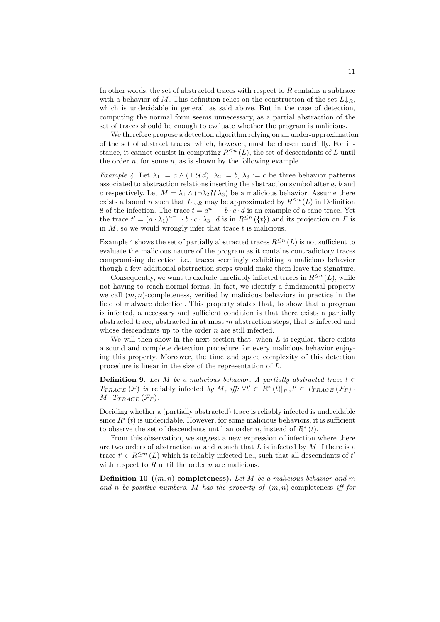In other words, the set of abstracted traces with respect to R contains a subtrace with a behavior of M. This definition relies on the construction of the set  $L\downarrow_R$ , which is undecidable in general, as said above. But in the case of detection, computing the normal form seems unnecessary, as a partial abstraction of the set of traces should be enough to evaluate whether the program is malicious.

We therefore propose a detection algorithm relying on an under-approximation of the set of abstract traces, which, however, must be chosen carefully. For instance, it cannot consist in computing  $R^{\leq n}(L)$ , the set of descendants of L until the order  $n$ , for some  $n$ , as is shown by the following example.

*Example 4.* Let  $\lambda_1 := a \wedge (\top \mathcal{U} d), \lambda_2 := b, \lambda_3 := c$  be three behavior patterns associated to abstraction relations inserting the abstraction symbol after a, b and c respectively. Let  $M = \lambda_1 \wedge (\neg \lambda_2 \mathcal{U} \lambda_3)$  be a malicious behavior. Assume there exists a bound n such that  $L \downarrow_R$  may be approximated by  $R^{\leq n}(L)$  in Definition 8 of the infection. The trace  $t = a^{n-1} \cdot b \cdot c \cdot d$  is an example of a sane trace. Yet the trace  $t' = (a \cdot \lambda_1)^{n-1} \cdot b \cdot c \cdot \lambda_3 \cdot d$  is in  $R^{\leq n}(\lbrace t \rbrace)$  and its projection on  $\Gamma$  is in  $M$ , so we would wrongly infer that trace  $t$  is malicious.

Example 4 shows the set of partially abstracted traces  $R^{\leq n}(L)$  is not sufficient to evaluate the malicious nature of the program as it contains contradictory traces compromising detection i.e., traces seemingly exhibiting a malicious behavior though a few additional abstraction steps would make them leave the signature.

Consequently, we want to exclude unreliably infected traces in  $R^{\leq n}(L)$ , while not having to reach normal forms. In fact, we identify a fundamental property we call  $(m, n)$ -completeness, verified by malicious behaviors in practice in the field of malware detection. This property states that, to show that a program is infected, a necessary and sufficient condition is that there exists a partially abstracted trace, abstracted in at most m abstraction steps, that is infected and whose descendants up to the order  $n$  are still infected.

We will then show in the next section that, when  $L$  is regular, there exists a sound and complete detection procedure for every malicious behavior enjoying this property. Moreover, the time and space complexity of this detection procedure is linear in the size of the representation of L.

**Definition 9.** Let M be a malicious behavior. A partially abstracted trace  $t \in$  $T_{TRACE}(\mathcal{F})$  is reliably infected by M, iff:  $\forall t' \in R^*(t)|_T$ ,  $t' \in T_{TRACE}(\mathcal{F}_T)$ .  $M \cdot T_{TRACE}(\mathcal{F}_{\Gamma}).$ 

Deciding whether a (partially abstracted) trace is reliably infected is undecidable since  $R^*(t)$  is undecidable. However, for some malicious behaviors, it is sufficient to observe the set of descendants until an order n, instead of  $R^*(t)$ .

From this observation, we suggest a new expression of infection where there are two orders of abstraction  $m$  and  $n$  such that  $L$  is infected by  $M$  if there is a trace  $t' \in R^{\leq m}(L)$  which is reliably infected i.e., such that all descendants of  $t'$ with respect to  $R$  until the order  $n$  are malicious.

Definition 10 ((m, n)-completeness). *Let* M *be a malicious behavior and* m *and* n *be positive numbers.* M *has the property of* (m, n)-completeness *iff for*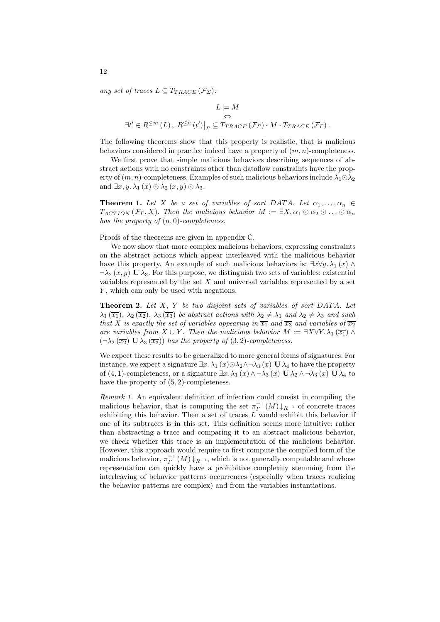*any set of traces*  $L \subseteq T_{TRACE}(\mathcal{F}_{\Sigma})$ :

$$
L \models M
$$
  
\n
$$
\exists t' \in R^{\leq m}(L), R^{\leq n}(t')|_{\Gamma} \subseteq T_{TRACE}(\mathcal{F}_{\Gamma}) \cdot M \cdot T_{TRACE}(\mathcal{F}_{\Gamma}).
$$

The following theorems show that this property is realistic, that is malicious behaviors considered in practice indeed have a property of  $(m, n)$ -completeness.

We first prove that simple malicious behaviors describing sequences of abstract actions with no constraints other than dataflow constraints have the property of  $(m, n)$ -completeness. Examples of such malicious behaviors include  $\lambda_1 \odot \lambda_2$ and  $\exists x, y, \lambda_1(x) \odot \lambda_2(x, y) \odot \lambda_3$ .

**Theorem 1.** Let X be a set of variables of sort DATA. Let  $\alpha_1, \ldots, \alpha_n \in$  $T_{ACTION}(\mathcal{F}_\Gamma, X)$ *. Then the malicious behavior*  $M := \exists X \, \alpha_1 \odot \alpha_2 \odot \ldots \odot \alpha_n$ *has the property of* (n, 0)*-completeness.*

Proofs of the theorems are given in appendix C.

We now show that more complex malicious behaviors, expressing constraints on the abstract actions which appear interleaved with the malicious behavior have this property. An example of such malicious behaviors is:  $\exists x \forall y \, \lambda_1(x) \land \lambda_2(x)$  $\neg \lambda_2(x, y)$  U  $\lambda_3$ . For this purpose, we distinguish two sets of variables: existential variables represented by the set  $X$  and universal variables represented by a set Y, which can only be used with negations.

Theorem 2. *Let* X*,* Y *be two disjoint sets of variables of sort* DAT A*. Let*  $\lambda_1(\overline{x_1})$ ,  $\lambda_2(\overline{x_2})$ ,  $\lambda_3(\overline{x_3})$  *be abstract actions with*  $\lambda_2 \neq \lambda_1$  *and*  $\lambda_2 \neq \lambda_3$  *and such that* X *is exactly the set of variables appearing in*  $\overline{x_1}$  *and*  $\overline{x_3}$  *and variables of*  $\overline{x_2}$ *are variables from*  $X \cup Y$ *. Then the malicious behavior*  $M := \exists X \forall Y \cdot \lambda_1(\overline{x_1}) \wedge \overline{x_2}$  $(\neg \lambda_2 (\overline{x_2}) \mathbf{U} \lambda_3 (\overline{x_3}))$  *has the property of*  $(3,2)$ *-completeness.* 

We expect these results to be generalized to more general forms of signatures. For instance, we expect a signature  $\exists x \cdot \lambda_1(x) \odot \lambda_2 \wedge \neg \lambda_3(x)$  U  $\lambda_4$  to have the property of (4, 1)-completeness, or a signature  $\exists x \, \lambda_1(x) \wedge \neg \lambda_3(x) \mathbf{U} \lambda_2 \wedge \neg \lambda_3(x) \mathbf{U} \lambda_4$  to have the property of (5, 2)-completeness.

*Remark 1.* An equivalent definition of infection could consist in compiling the malicious behavior, that is computing the set  $\pi_I^{-1}(M) \downarrow_{R^{-1}}$  of concrete traces exhibiting this behavior. Then a set of traces  $L$  would exhibit this behavior if one of its subtraces is in this set. This definition seems more intuitive: rather than abstracting a trace and comparing it to an abstract malicious behavior, we check whether this trace is an implementation of the malicious behavior. However, this approach would require to first compute the compiled form of the malicious behavior,  $\pi_P^{-1}(M) \downarrow_{R^{-1}}$ , which is not generally computable and whose representation can quickly have a prohibitive complexity stemming from the interleaving of behavior patterns occurrences (especially when traces realizing the behavior patterns are complex) and from the variables instantiations.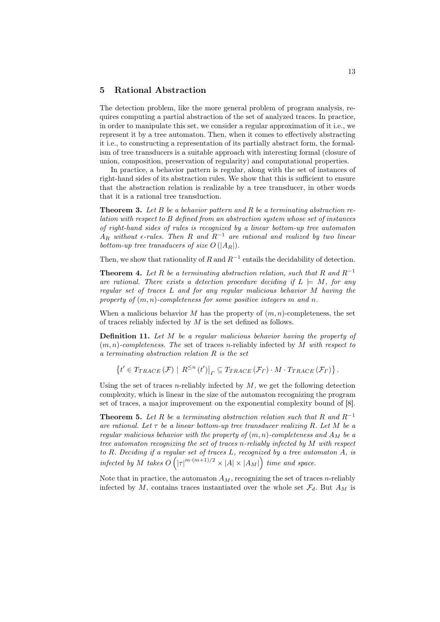### 5 Rational Abstraction

The detection problem, like the more general problem of program analysis, requires computing a partial abstraction of the set of analyzed traces. In practice, in order to manipulate this set, we consider a regular approximation of it i.e., we represent it by a tree automaton. Then, when it comes to effectively abstracting it i.e., to constructing a representation of its partially abstract form, the formalism of tree transducers is a suitable approach with interesting formal (closure of union, composition, preservation of regularity) and computational properties.

In practice, a behavior pattern is regular, along with the set of instances of right-hand sides of its abstraction rules. We show that this is sufficient to ensure that the abstraction relation is realizable by a tree transducer, in other words that it is a rational tree transduction.

Theorem 3. *Let* B *be a behavior pattern and* R *be a terminating abstraction relation with respect to* B *defined from an abstraction system whose set of instances of right-hand sides of rules is recognized by a linear bottom-up tree automaton*  $A_R$  *without*  $\epsilon$ -rules. Then R and  $R^{-1}$  are rational and realized by two linear *bottom-up tree transducers of size*  $O(|A_R|)$ *.* 

Then, we show that rationality of R and  $R^{-1}$  entails the decidability of detection.

**Theorem 4.** Let R be a terminating abstraction relation, such that R and  $R^{-1}$ are rational. There exists a detection procedure deciding if  $L \models M$ , for any *regular set of traces* L *and for any regular malicious behavior* M *having the property of* (m, n)*-completeness for some positive integers* m *and* n*.*

When a malicious behavior M has the property of  $(m, n)$ -completeness, the set of traces reliably infected by  $M$  is the set defined as follows.

Definition 11. *Let* M *be a regular malicious behavior having the property of* (m, n)*-completeness. The* set of traces n-reliably infected by M *with respect to a terminating abstraction relation* R *is the set*

 $\{t' \in T_{TRACE}(\mathcal{F}) \mid R^{\leq n}(t')\big|_r \subseteq T_{TRACE}(\mathcal{F}_r) \cdot M \cdot T_{TRACE}(\mathcal{F}_r)\}.$ 

Using the set of traces *n*-reliably infected by  $M$ , we get the following detection complexity, which is linear in the size of the automaton recognizing the program set of traces, a major improvement on the exponential complexity bound of [8].

**Theorem 5.** Let R be a terminating abstraction relation such that R and  $R^{-1}$ *are rational. Let* τ *be a linear bottom-up tree transducer realizing* R*. Let* M *be a regular malicious behavior with the property of*  $(m, n)$ -completeness and  $A_M$  be a *tree automaton recognizing the set of traces* n*-reliably infected by* M *with respect to* R*. Deciding if a regular set of traces* L*, recognized by a tree automaton* A*, is infected by* M *takes*  $O(|\tau|^{m \cdot (m+1)/2} \times |A| \times |A_M|)$  *time and space.* 

Note that in practice, the automaton  $A_M$ , recognizing the set of traces *n*-reliably infected by M, contains traces instantiated over the whole set  $\mathcal{F}_d$ . But  $A_M$  is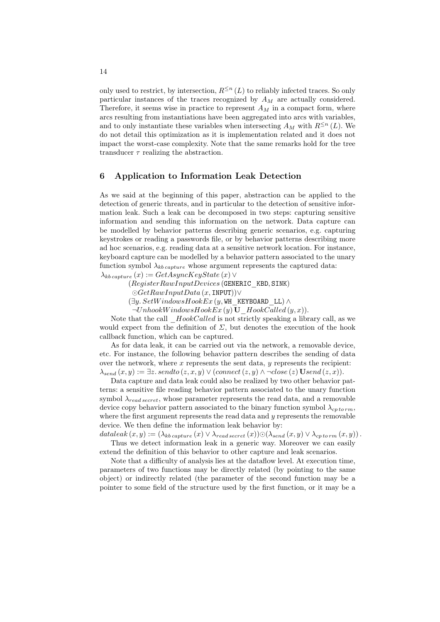only used to restrict, by intersection,  $R^{\leq n}(L)$  to reliably infected traces. So only particular instances of the traces recognized by  $A_M$  are actually considered. Therefore, it seems wise in practice to represent  $A_M$  in a compact form, where arcs resulting from instantiations have been aggregated into arcs with variables, and to only instantiate these variables when intersecting  $A_M$  with  $R^{\leq n}(L)$ . We do not detail this optimization as it is implementation related and it does not impact the worst-case complexity. Note that the same remarks hold for the tree transducer  $\tau$  realizing the abstraction.

### 6 Application to Information Leak Detection

As we said at the beginning of this paper, abstraction can be applied to the detection of generic threats, and in particular to the detection of sensitive information leak. Such a leak can be decomposed in two steps: capturing sensitive information and sending this information on the network. Data capture can be modelled by behavior patterns describing generic scenarios, e.g. capturing keystrokes or reading a passwords file, or by behavior patterns describing more ad hoc scenarios, e.g. reading data at a sensitive network location. For instance, keyboard capture can be modelled by a behavior pattern associated to the unary function symbol  $\lambda_{kb\, capture}$  whose argument represents the captured data:

 $\lambda_{kb\,caature}(x) := GetAsyncKeyState(x)$ 

 $(Register RawInputDevices$  (GENERIC KBD, SINK)

 $\odot$ GetRawInputData (x, INPUT))∨

- $(\exists y. SetWindowsBookEx (y, WH, KEYBOARD LL) \wedge$
- $\neg UnhookWindowsHookEx(y)$  U\_HookCalled  $(y, x)$ ).

Note that the call  $HookCalled$  is not strictly speaking a library call, as we would expect from the definition of  $\Sigma$ , but denotes the execution of the hook callback function, which can be captured.

As for data leak, it can be carried out via the network, a removable device, etc. For instance, the following behavior pattern describes the sending of data over the network, where  $x$  represents the sent data,  $y$  represents the recipient:  $\lambda_{send}(x, y) := \exists z. sendto(z, x, y) \lor (connect(z, y) \land \neg close(z) \, \textbf{U}send(z, x)).$ 

Data capture and data leak could also be realized by two other behavior patterns: a sensitive file reading behavior pattern associated to the unary function symbol  $\lambda_{read\,secret}$ , whose parameter represents the read data, and a removable device copy behavior pattern associated to the binary function symbol  $\lambda_{cp\,torm}$ , where the first argument represents the read data and  $y$  represents the removable device. We then define the information leak behavior by:

dataleak  $(x, y) := (\lambda_{kb\, capture}(x) \vee \lambda_{read\,secret}(x)) \odot (\lambda_{send}(x, y) \vee \lambda_{cp\,torm}(x, y)).$ Thus we detect information leak in a generic way. Moreover we can easily

extend the definition of this behavior to other capture and leak scenarios.

Note that a difficulty of analysis lies at the dataflow level. At execution time, parameters of two functions may be directly related (by pointing to the same object) or indirectly related (the parameter of the second function may be a pointer to some field of the structure used by the first function, or it may be a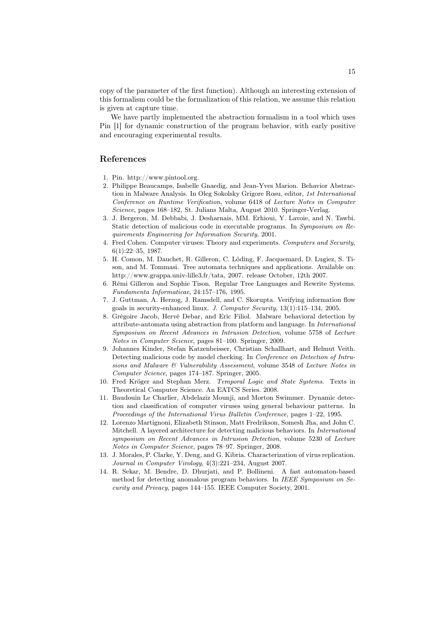copy of the parameter of the first function). Although an interesting extension of this formalism could be the formalization of this relation, we assume this relation is given at capture time.

We have partly implemented the abstraction formalism in a tool which uses Pin [1] for dynamic construction of the program behavior, with early positive and encouraging experimental results.

# References

- 1. Pin. http://www.pintool.org.
- 2. Philippe Beaucamps, Isabelle Gnaedig, and Jean-Yves Marion. Behavior Abstraction in Malware Analysis. In Oleg Sokolsky Grigore Rosu, editor, 1st International Conference on Runtime Verification, volume 6418 of Lecture Notes in Computer Science, pages 168–182, St. Julians Malta, August 2010. Springer-Verlag.
- 3. J. Bergeron, M. Debbabi, J. Desharnais, MM. Erhioui, Y. Lavoie, and N. Tawbi. Static detection of malicious code in executable programs. In Symposium on Requirements Engineering for Information Security, 2001.
- 4. Fred Cohen. Computer viruses: Theory and experiments. Computers and Security, 6(1):22–35, 1987.
- 5. H. Comon, M. Dauchet, R. Gilleron, C. Löding, F. Jacquemard, D. Lugiez, S. Tison, and M. Tommasi. Tree automata techniques and applications. Available on: http://www.grappa.univ-lille3.fr/tata, 2007. release October, 12th 2007.
- 6. Rémi Gilleron and Sophie Tison. Regular Tree Languages and Rewrite Systems. Fundamenta Informaticae, 24:157–176, 1995.
- 7. J. Guttman, A. Herzog, J. Ramsdell, and C. Skorupta. Verifying information flow goals in security-enhanced linux. J. Computer Security, 13(1):115–134, 2005.
- 8. Grégoire Jacob, Hervé Debar, and Eric Filiol. Malware behavioral detection by attribute-automata using abstraction from platform and language. In International Symposium on Recent Advances in Intrusion Detection, volume 5758 of Lecture Notes in Computer Science, pages 81–100. Springer, 2009.
- 9. Johannes Kinder, Stefan Katzenbeisser, Christian Schallhart, and Helmut Veith. Detecting malicious code by model checking. In Conference on Detection of Intrusions and Malware & Vulnerability Assessment, volume 3548 of Lecture Notes in Computer Science, pages 174–187. Springer, 2005.
- 10. Fred Kröger and Stephan Merz. Temporal Logic and State Systems. Texts in Theoretical Computer Science. An EATCS Series. 2008.
- 11. Baudouin Le Charlier, Abdelaziz Mounji, and Morton Swimmer. Dynamic detection and classification of computer viruses using general behaviour patterns. In Proceedings of the International Virus Bulletin Conference, pages 1–22, 1995.
- 12. Lorenzo Martignoni, Elizabeth Stinson, Matt Fredrikson, Somesh Jha, and John C. Mitchell. A layered architecture for detecting malicious behaviors. In International symposium on Recent Advances in Intrusion Detection, volume 5230 of Lecture Notes in Computer Science, pages 78–97. Springer, 2008.
- 13. J. Morales, P. Clarke, Y. Deng, and G. Kibria. Characterization of virus replication. Journal in Computer Virology, 4(3):221–234, August 2007.
- 14. R. Sekar, M. Bendre, D. Dhurjati, and P. Bollineni. A fast automaton-based method for detecting anomalous program behaviors. In IEEE Symposium on Security and Privacy, pages 144–155. IEEE Computer Society, 2001.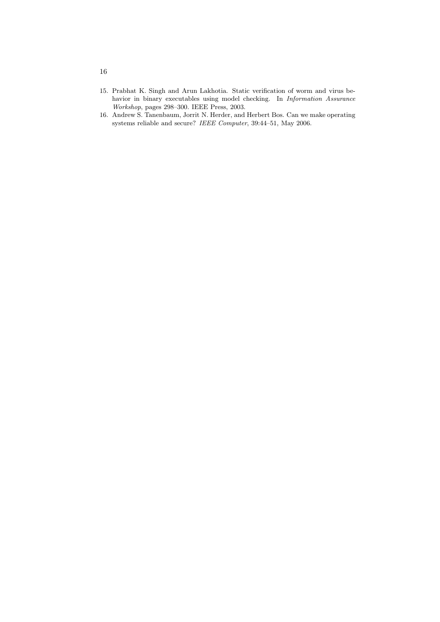- 15. Prabhat K. Singh and Arun Lakhotia. Static verification of worm and virus behavior in binary executables using model checking. In Information Assurance Workshop, pages 298–300. IEEE Press, 2003.
- 16. Andrew S. Tanenbaum, Jorrit N. Herder, and Herbert Bos. Can we make operating systems reliable and secure? IEEE Computer, 39:44–51, May 2006.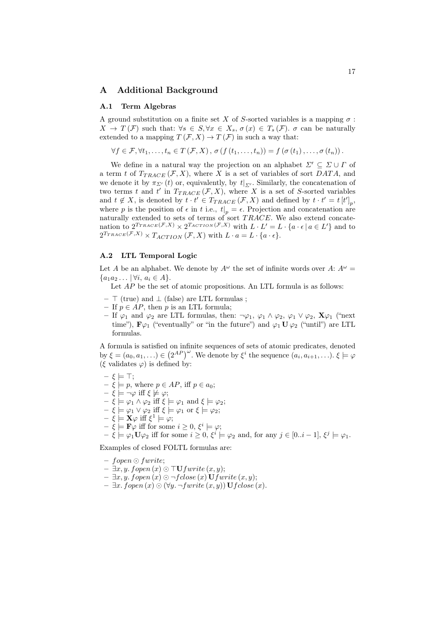### A Additional Background

#### A.1 Term Algebras

A ground substitution on a finite set X of S-sorted variables is a mapping  $\sigma$ :  $X \to T(\mathcal{F})$  such that:  $\forall s \in S, \forall x \in X_s, \sigma(x) \in T_s(\mathcal{F})$ .  $\sigma$  can be naturally extended to a mapping  $T(\mathcal{F}, X) \to T(\mathcal{F})$  in such a way that:

$$
\forall f \in \mathcal{F}, \forall t_1, \ldots, t_n \in T(\mathcal{F}, X), \sigma(f(t_1, \ldots, t_n)) = f(\sigma(t_1), \ldots, \sigma(t_n)).
$$

We define in a natural way the projection on an alphabet  $\Sigma' \subseteq \Sigma \cup \Gamma$  of a term t of  $T_{TRACE}(\mathcal{F}, X)$ , where X is a set of variables of sort DATA, and we denote it by  $\pi_{\Sigma'}(t)$  or, equivalently, by  $t|_{\Sigma'}$ . Similarly, the concatenation of two terms t and t' in  $T_{TRACE}(\mathcal{F}, X)$ , where X is a set of S-sorted variables and  $t \notin X$ , is denoted by  $t \cdot t' \in T_{TRACE}(\mathcal{F}, X)$  and defined by  $t \cdot t' = t[t']_p$ , where p is the position of  $\epsilon$  in t i.e.,  $t|_p = \epsilon$ . Projection and concatenation are naturally extended to sets of terms of sort  $TRACE$ . We also extend concatenation to  $2^{T_{TRACE}(\mathcal{F},X)} \times 2^{T_{ACTION}(\mathcal{F},X)}$  with  $L \cdot L' = L \cdot \{a \cdot \epsilon \mid a \in L'\}$  and to  $2^{T_{TRACE}(\mathcal{F},X)} \times T_{ACTION}(\mathcal{F},X)$  with  $L \cdot a = L \cdot \{a \cdot \epsilon\}.$ 

#### A.2 LTL Temporal Logic

Let A be an alphabet. We denote by  $A^{\omega}$  the set of infinite words over A:  $A^{\omega}$  =  ${a_1a_2... | \forall i, a_i \in A}.$ 

Let  $AP$  be the set of atomic propositions. An LTL formula is as follows:

- ⊤ (true) and ⊥ (false) are LTL formulas ;
- If  $p \in AP$ , then p is an LTL formula;
- If  $\varphi_1$  and  $\varphi_2$  are LTL formulas, then:  $\neg \varphi_1$ ,  $\varphi_1 \wedge \varphi_2$ ,  $\varphi_1 \vee \varphi_2$ ,  $\mathbf{X} \varphi_1$  ("next time"),  $\mathbf{F}\varphi_1$  ("eventually" or "in the future") and  $\varphi_1 \mathbf{U} \varphi_2$  ("until") are LTL formulas.

A formula is satisfied on infinite sequences of sets of atomic predicates, denoted by  $\xi = (a_0, a_1, \ldots) \in (2^{AP})^{\omega}$ . We denote by  $\xi^i$  the sequence  $(a_i, a_{i+1}, \ldots)$ .  $\xi \models \varphi$ (ξ validates  $\varphi$ ) is defined by:

$$
- \xi \models \top;
$$

- $\xi \models p$ , where  $p \in AP$ , iff  $p \in a_0$ ;
- $\xi \models \neg \varphi$  iff  $\xi \not\models \varphi;$
- $\xi \models \varphi_1 \land \varphi_2 \text{ iff } \xi \models \varphi_1 \text{ and } \xi \models \varphi_2;$
- $\xi \models \varphi_1 \vee \varphi_2 \text{ iff } \xi \models \varphi_1 \text{ or } \xi \models \varphi_2;$
- $-\xi = \mathbf{X}\varphi \text{ iff } \xi^1 \models \varphi;$
- $\xi \models \mathbf{F} \varphi$  iff for some  $i \geq 0, \xi^i \models \varphi;$
- $\xi \models \varphi_1 \mathbf{U} \varphi_2$  iff for some  $i \geq 0, \xi^i \models \varphi_2$  and, for any  $j \in [0..i-1], \xi^j \models \varphi_1$ .

Examples of closed FOLTL formulas are:

- fopen ⊙ fwrite;
- $\exists x, y.$  fopen  $(x)$  ⊙ ⊤U fwrite  $(x, y)$ ;
- ∃x, y. fopen (x) ⊙ ¬f close (x) Ufwrite (x, y);
- ∃x. fopen (x) ⊙ (∀y. ¬fwrite (x, y)) Uf close (x).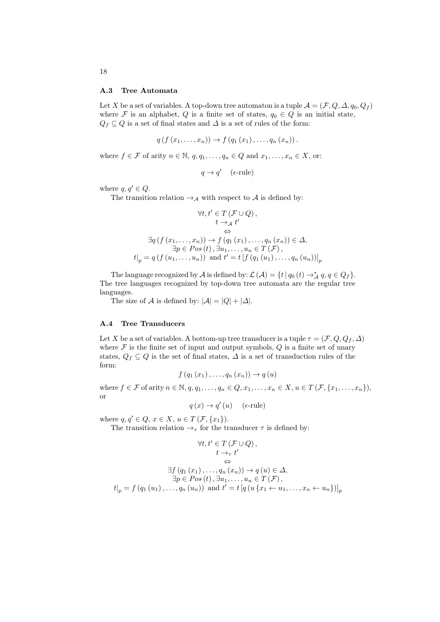#### A.3 Tree Automata

Let X be a set of variables. A top-down tree automaton is a tuple  $\mathcal{A} = (\mathcal{F}, Q, \Delta, q_0, Q_f)$ where F is an alphabet, Q is a finite set of states,  $q_0 \in Q$  is an initial state,  $Q_f \subseteq Q$  is a set of final states and  $\Delta$  is a set of rules of the form:

$$
q(f(x_1,...,x_n)) \to f(q_1(x_1),...,q_n(x_n)).
$$

where  $f \in \mathcal{F}$  of arity  $n \in \mathbb{N}$ ,  $q, q_1, \ldots, q_n \in Q$  and  $x_1, \ldots, x_n \in X$ , or:

 $q \rightarrow q'$  (e-rule)

where  $q, q' \in Q$ .

The transition relation  $\rightarrow_{\mathcal{A}}$  with respect to  $\mathcal{A}$  is defined by:

$$
\forall t, t' \in T (\mathcal{F} \cup Q),
$$
  
\n
$$
t \to_A t'
$$
  
\n
$$
\Leftrightarrow
$$
  
\n
$$
\exists q (f (x_1, \ldots, x_n)) \to f (q_1 (x_1), \ldots, q_n (x_n)) \in \Delta,
$$
  
\n
$$
\exists p \in Pos (t), \exists u_1, \ldots, u_n \in T (\mathcal{F}),
$$
  
\n
$$
t|_p = q (f (u_1, \ldots, u_n)) \text{ and } t' = t [f (q_1 (u_1), \ldots, q_n (u_n))]_p
$$

The language recognized by  $\mathcal A$  is defined by:  $\mathcal L(\mathcal A)=\{t\,|\,q_0\,(t)\rightarrow^*_{\mathcal A} q,q\in Q_f\}.$ The tree languages recognized by top-down tree automata are the regular tree languages.

The size of A is defined by:  $|\mathcal{A}| = |Q| + |\Delta|$ .

#### A.4 Tree Transducers

Let X be a set of variables. A bottom-up tree transducer is a tuple  $\tau = (\mathcal{F}, Q, Q_f, \Delta)$ where  $\mathcal F$  is the finite set of input and output symbols,  $Q$  is a finite set of unary states,  $Q_f \subseteq Q$  is the set of final states,  $\Delta$  is a set of transduction rules of the form:

$$
f(q_1(x_1),\ldots,q_n(x_n))\to q(u)
$$

where  $f \in \mathcal{F}$  of arity  $n \in \mathbb{N}, q, q_1, \ldots, q_n \in Q, x_1, \ldots, x_n \in X, u \in T(\mathcal{F}, \{x_1, \ldots, x_n\}),$ or

 $q(x) \rightarrow q'(u)$  (e-rule)

where  $q, q' \in Q$ ,  $x \in X$ ,  $u \in T(\mathcal{F}, \{x_1\})$ .

The transition relation  $\rightarrow_{\tau}$  for the transducer  $\tau$  is defined by:

$$
\forall t, t' \in T \left( \mathcal{F} \cup Q \right),
$$
  
\n
$$
t \rightarrow_{\tau} t'
$$
  
\n
$$
\Leftrightarrow
$$
  
\n
$$
\exists f \left( q_1 \left( x_1 \right), \dots, q_n \left( x_n \right) \right) \rightarrow q \left( u \right) \in \Delta,
$$
  
\n
$$
\exists p \in Pos \left( t \right), \exists u_1, \dots, u_n \in T \left( \mathcal{F} \right),
$$
  
\n
$$
t|_p = f \left( q_1 \left( u_1 \right), \dots, q_n \left( u_n \right) \right) \text{ and } t' = t \left[ q \left( u \left\{ x_1 \leftarrow u_1, \dots, x_n \leftarrow u_n \right\} \right) \right]_p
$$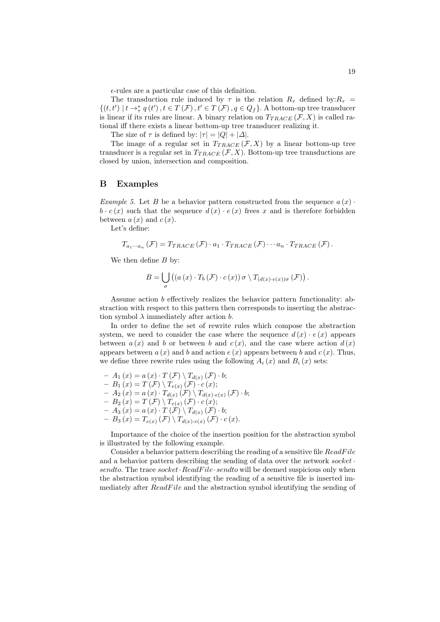$\epsilon$ -rules are a particular case of this definition.

The transduction rule induced by  $\tau$  is the relation  $R_{\tau}$  defined by: $R_{\tau}$  =  $\{(t, t') \mid t \to_{\tau}^* q(t'), t \in T(\mathcal{F}), t' \in T(\mathcal{F}), q \in Q_f\}$ . A bottom-up tree transducer is linear if its rules are linear. A binary relation on  $T_{TRACE}(\mathcal{F}, X)$  is called rational iff there exists a linear bottom-up tree transducer realizing it.

The size of  $\tau$  is defined by:  $|\tau| = |Q| + |\Delta|$ .

The image of a regular set in  $T_{TRACE}(\mathcal{F}, X)$  by a linear bottom-up tree transducer is a regular set in  $T_{TRACE}(\mathcal{F}, X)$ . Bottom-up tree transductions are closed by union, intersection and composition.

#### B Examples

*Example 5.* Let B be a behavior pattern constructed from the sequence  $a(x)$ .  $b \cdot c(x)$  such that the sequence  $d(x) \cdot e(x)$  frees x and is therefore forbidden between  $a(x)$  and  $c(x)$ .

Let's define:

$$
T_{a_1\cdots a_n}(\mathcal{F})=T_{TRACE}(\mathcal{F})\cdot a_1\cdot T_{TRACE}(\mathcal{F})\cdots a_n\cdot T_{TRACE}(\mathcal{F}).
$$

We then define  $B$  by:

$$
B = \bigcup_{\sigma} \left( \left( a(x) \cdot T_b \left( \mathcal{F} \right) \cdot c(x) \right) \sigma \setminus T_{(d(x) \cdot e(x))\sigma} \left( \mathcal{F} \right) \right).
$$

Assume action b effectively realizes the behavior pattern functionality: abstraction with respect to this pattern then corresponds to inserting the abstraction symbol  $\lambda$  immediately after action b.

In order to define the set of rewrite rules which compose the abstraction system, we need to consider the case where the sequence  $d(x) \cdot e(x)$  appears between  $a(x)$  and b or between b and  $c(x)$ , and the case where action  $d(x)$ appears between  $a(x)$  and b and action  $e(x)$  appears between b and  $c(x)$ . Thus, we define three rewrite rules using the following  $A_i(x)$  and  $B_i(x)$  sets:

$$
- A_1(x) = a(x) \cdot T(\mathcal{F}) \setminus T_{d(x)}(\mathcal{F}) \cdot b;
$$
  
\n
$$
- B_1(x) = T(\mathcal{F}) \setminus T_{e(x)}(\mathcal{F}) \cdot c(x);
$$
  
\n
$$
- A_2(x) = a(x) \cdot T_{d(x)}(\mathcal{F}) \setminus T_{d(x) \cdot e(x)}(\mathcal{F}) \cdot b;
$$
  
\n
$$
- B_2(x) = T(\mathcal{F}) \setminus T_{e(x)}(\mathcal{F}) \cdot c(x);
$$
  
\n
$$
- A_3(x) = a(x) \cdot T(\mathcal{F}) \setminus T_{d(x)}(\mathcal{F}) \cdot b;
$$
  
\n
$$
- B_3(x) = T_{e(x)}(\mathcal{F}) \setminus T_{d(x) \cdot e(x)}(\mathcal{F}) \cdot c(x).
$$

Importance of the choice of the insertion position for the abstraction symbol is illustrated by the following example.

Consider a behavior pattern describing the reading of a sensitive file  $ReadFile$ and a behavior pattern describing the sending of data over the network  $socket \cdot$ sendto. The trace socket ReadFile·sendto will be deemed suspicious only when the abstraction symbol identifying the reading of a sensitive file is inserted immediately after ReadFile and the abstraction symbol identifying the sending of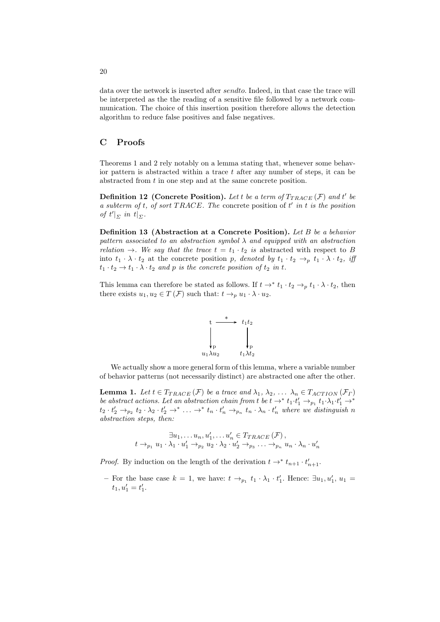data over the network is inserted after sendto. Indeed, in that case the trace will be interpreted as the the reading of a sensitive file followed by a network communication. The choice of this insertion position therefore allows the detection algorithm to reduce false positives and false negatives.

# C Proofs

Theorems 1 and 2 rely notably on a lemma stating that, whenever some behavior pattern is abstracted within a trace  $t$  after any number of steps, it can be abstracted from t in one step and at the same concrete position.

**Definition 12** (Concrete Position). Let t be a term of  $T_{TRACE}(\mathcal{F})$  and t' be *a subterm of* t*, of sort* T RACE*. The* concrete position of t ′ *in* t *is the position of*  $t'|_{\Sigma}$  *in*  $t|_{\Sigma}$ *.* 

Definition 13 (Abstraction at a Concrete Position). *Let* B *be a behavior pattern associated to an abstraction symbol* λ *and equipped with an abstraction relation*  $\rightarrow$ *. We say that the trace*  $t = t_1 \cdot t_2$  *is* abstracted with respect to B into  $t_1 \cdot \lambda \cdot t_2$  at the concrete position p, denoted by  $t_1 \cdot t_2 \rightarrow_p t_1 \cdot \lambda \cdot t_2$ , iff  $t_1 \cdot t_2 \rightarrow t_1 \cdot \lambda \cdot t_2$  and p is the concrete position of  $t_2$  in t.

This lemma can therefore be stated as follows. If  $t \to^* t_1 \cdot t_2 \to_p t_1 \cdot \lambda \cdot t_2$ , then there exists  $u_1, u_2 \in T(\mathcal{F})$  such that:  $t \to_p u_1 \cdot \lambda \cdot u_2$ .



We actually show a more general form of this lemma, where a variable number of behavior patterns (not necessarily distinct) are abstracted one after the other.

**Lemma 1.** Let  $t \in T_{TRACE}(\mathcal{F})$  be a trace and  $\lambda_1, \lambda_2, \ldots, \lambda_n \in T_{ACTION}(\mathcal{F}_{\Gamma})$ *be abstract actions. Let an abstraction chain from t be*  $t \to^* t_1 \cdot t'_1 \to_{p_1} t_1 \cdot \lambda_1 \cdot t'_1 \to^* t_1 \cdot t'_1$  $t_2 \cdot t'_2 \rightarrow_{p_2} t_2 \cdot \lambda_2 \cdot t'_2 \rightarrow^* \ldots \rightarrow^* t_n \cdot t'_n \rightarrow_{p_n} t_n \cdot \lambda_n \cdot t'_n$  where we distinguish n *abstraction steps, then:*

$$
\exists u_1, \ldots u_n, u'_1, \ldots u'_n \in T_{TRACE}(\mathcal{F}),
$$
  

$$
t \rightarrow_{p_1} u_1 \cdot \lambda_1 \cdot u'_1 \rightarrow_{p_2} u_2 \cdot \lambda_2 \cdot u'_2 \rightarrow_{p_3} \ldots \rightarrow_{p_n} u_n \cdot \lambda_n \cdot u'_n
$$

*Proof.* By induction on the length of the derivation  $t \to^* t_{n+1} \cdot t'_{n+1}$ .

- For the base case  $k = 1$ , we have:  $t \rightarrow_{p_1} t_1 \cdot \lambda_1 \cdot t'_1$ . Hence:  $\exists u_1, u'_1, u_1 =$  $t_1, u'_1 = t'_1.$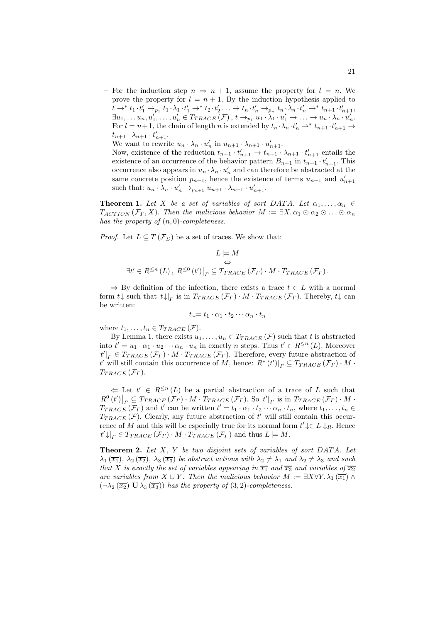– For the induction step  $n \Rightarrow n+1$ , assume the property for  $l = n$ . We prove the property for  $l = n + 1$ . By the induction hypothesis applied to  $t \to^* t_1 \cdot t_1' \to_{p_1} t_1 \cdot \lambda_1 \cdot t_1' \to^* t_2 \cdot t_2' \ldots \to t_n \cdot t_n' \to_{p_n} t_n \cdot \lambda_n \cdot t_n' \to^* t_{n+1} \cdot t_{n+1}',$  $\exists u_1, \ldots u_n, u'_1, \ldots, u'_n \in T_{TRACE}(\mathcal{F}), t \rightarrow_{p_1} u_1 \cdot \lambda_1 \cdot u'_1 \rightarrow \ldots \rightarrow u_n \cdot \lambda_n \cdot u'_n.$ For  $l = n+1$ , the chain of length n is extended by  $t_n \cdot \lambda_n \cdot t'_n \to^* t_{n+1} \cdot t'_{n+1} \to$  $t_{n+1} \cdot \lambda_{n+1} \cdot t'_{n+1}.$ 

We want to rewrite  $u_n \cdot \lambda_n \cdot u'_n$  in  $u_{n+1} \cdot \lambda_{n+1} \cdot u'_{n+1}$ .

Now, existence of the reduction  $t_{n+1} \cdot t'_{n+1} \to t_{n+1} \cdot \lambda_{n+1} \cdot t'_{n+1}$  entails the existence of an occurrence of the behavior pattern  $B_{n+1}$  in  $t_{n+1} \cdot t'_{n+1}$ . This occurrence also appears in  $u_n \cdot \lambda_n \cdot u'_n$  and can therefore be abstracted at the same concrete position  $p_{n+1}$ , hence the existence of terms  $u_{n+1}$  and  $u'_{n+1}$ such that:  $u_n \cdot \lambda_n \cdot u'_n \rightarrow_{p_{n+1}} u_{n+1} \cdot \lambda_{n+1} \cdot u'_{n+1}$ .

**Theorem 1.** Let X be a set of variables of sort DATA. Let  $\alpha_1, \ldots, \alpha_n \in$  $T_{ACTION}(\mathcal{F}_\Gamma, X)$ . Then the malicious behavior  $M := \exists X. \alpha_1 \odot \alpha_2 \odot \ldots \odot \alpha_n$ *has the property of* (n, 0)*-completeness.*

*Proof.* Let  $L \subseteq T(\mathcal{F}_{\Sigma})$  be a set of traces. We show that:

$$
L \models M
$$
  
\n
$$
\exists t' \in R^{\leq n}(L), R^{\leq 0}(t')|_{\Gamma} \subseteq T_{TRACE}(\mathcal{F}_{\Gamma}) \cdot M \cdot T_{TRACE}(\mathcal{F}_{\Gamma}).
$$

 $\Rightarrow$  By definition of the infection, there exists a trace  $t \in L$  with a normal form  $t \downarrow$  such that  $t \downarrow|_{\Gamma}$  is in  $T_{TRACE}(\mathcal{F}_{\Gamma}) \cdot M \cdot T_{TRACE}(\mathcal{F}_{\Gamma})$ . Thereby,  $t \downarrow$  can be written:

$$
t\downarrow = t_1 \cdot \alpha_1 \cdot t_2 \cdots \alpha_n \cdot t_n
$$

where  $t_1, \ldots, t_n \in T_{TRACE}(\mathcal{F})$ .

By Lemma 1, there exists  $u_1, \ldots, u_n \in T_{TRACE}(\mathcal{F})$  such that t is abstracted into  $t' = u_1 \cdot \alpha_1 \cdot u_2 \cdots \alpha_n \cdot u_n$  in exactly n steps. Thus  $t' \in R^{\leq n}(L)$ . Moreover  $t'|_{\Gamma} \in T_{TRACE}(\mathcal{F}_{\Gamma}) \cdot M \cdot T_{TRACE}(\mathcal{F}_{\Gamma})$ . Therefore, every future abstraction of t' will still contain this occurrence of M, hence:  $R^*(t')|_{\Gamma} \subseteq T_{TRACE}(\mathcal{F}_{\Gamma}) \cdot M$ .  $T_{TRACE}(\mathcal{F}_{\Gamma}).$ 

 $\Leftarrow$  Let  $t' \in R^{\leq n}(L)$  be a partial abstraction of a trace of L such that  $R^0(t')|_{\Gamma} \subseteq T_{TRACE}(\mathcal{F}_{\Gamma}) \cdot M \cdot T_{TRACE}(\mathcal{F}_{\Gamma})$ . So  $t'|_{\Gamma}$  is in  $T_{TRACE}(\mathcal{F}_{\Gamma}) \cdot M \cdot T_{TRACE}(\mathcal{F}_{\Gamma})$  $T_{TRACE}(\mathcal{F}_{\Gamma})$  and t' can be written  $t'=t_1\cdot \alpha_1\cdot t_2\cdots \alpha_n\cdot t_n$ , where  $t_1,\ldots,t_n\in$  $T_{TRACE}(\mathcal{F})$ . Clearly, any future abstraction of t' will still contain this occurrence of M and this will be especially true for its normal form  $t' \downarrow \in L \downarrow_R$ . Hence  $t' \downarrow|_{\Gamma} \in T_{TRACE} (\mathcal{F}_{\Gamma}) \cdot M \cdot T_{TRACE} (\mathcal{F}_{\Gamma})$  and thus  $L \models M$ .

Theorem 2. *Let* X*,* Y *be two disjoint sets of variables of sort* DAT A*. Let*  $\lambda_1(\overline{x_1})$ ,  $\lambda_2(\overline{x_2})$ ,  $\lambda_3(\overline{x_3})$  *be abstract actions with*  $\lambda_2 \neq \lambda_1$  *and*  $\lambda_2 \neq \lambda_3$  *and such that* X *is exactly the set of variables appearing in*  $\overline{x_1}$  *and*  $\overline{x_3}$  *and variables of*  $\overline{x_2}$ *are variables from*  $X \cup Y$ *. Then the malicious behavior*  $M := \exists X \forall Y \cdot \lambda_1(\overline{x_1}) \wedge \overline{x_2}$  $(\neg \lambda_2 (\overline{x_2}) \mathbf{U} \lambda_3 (\overline{x_3}))$  *has the property of*  $(3,2)$ *-completeness.*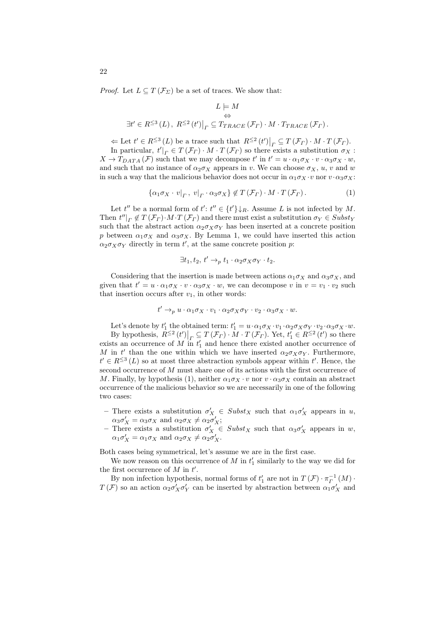*Proof.* Let  $L \subseteq T(\mathcal{F}_{\Sigma})$  be a set of traces. We show that:

$$
L \models M
$$
  
\n
$$
\exists t' \in R^{\leq 3}(L), R^{\leq 2}(t')|_{\Gamma} \subseteq T_{TRACE}(\mathcal{F}_{\Gamma}) \cdot M \cdot T_{TRACE}(\mathcal{F}_{\Gamma}).
$$

 $\Leftarrow$  Let  $t' \in R^{\leq 3}(L)$  be a trace such that  $R^{\leq 2}(t')|_{\Gamma} \subseteq T(\mathcal{F}_{\Gamma}) \cdot M \cdot T(\mathcal{F}_{\Gamma})$ .

In particular,  $t'|_{\Gamma} \in T(\mathcal{F}_{\Gamma}) \cdot M \cdot T(\mathcal{F}_{\Gamma})$  so there exists a substitution  $\sigma_X$ :  $X \to T_{DATA}(\mathcal{F})$  such that we may decompose t' in  $t' = u \cdot \alpha_1 \sigma_X \cdot v \cdot \alpha_3 \sigma_X \cdot w$ , and such that no instance of  $\alpha_2 \sigma_X$  appears in v. We can choose  $\sigma_X$ , u, v and w in such a way that the malicious behavior does not occur in  $\alpha_1 \sigma_X \cdot v$  nor  $v \cdot \alpha_3 \sigma_X$ :

$$
\{\alpha_1 \sigma_X \cdot v|_{\Gamma}, v|_{\Gamma} \cdot \alpha_3 \sigma_X\} \notin T(\mathcal{F}_{\Gamma}) \cdot M \cdot T(\mathcal{F}_{\Gamma}). \tag{1}
$$

Let  $t''$  be a normal form of  $t': t'' \in \{t'\} \downarrow_R$ . Assume L is not infected by M. Then  $t''|_{\Gamma} \notin T(\mathcal{F}_{\Gamma}) \cdot M \cdot T(\mathcal{F}_{\Gamma})$  and there must exist a substitution  $\sigma_Y \in Subst_Y$ such that the abstract action  $\alpha_2 \sigma_X \sigma_Y$  has been inserted at a concrete position p between  $\alpha_1 \sigma_X$  and  $\alpha_3 \sigma_X$ . By Lemma 1, we could have inserted this action  $\alpha_2 \sigma_X \sigma_Y$  directly in term t', at the same concrete position p:

$$
\exists t_1, t_2, t' \rightarrow_p t_1 \cdot \alpha_2 \sigma_X \sigma_Y \cdot t_2.
$$

Considering that the insertion is made between actions  $\alpha_1 \sigma_X$  and  $\alpha_3 \sigma_X$ , and given that  $t' = u \cdot \alpha_1 \sigma_X \cdot v \cdot \alpha_3 \sigma_X \cdot w$ , we can decompose v in  $v = v_1 \cdot v_2$  such that insertion occurs after  $v_1$ , in other words:

$$
t' \rightarrow_{p} u \cdot \alpha_{1} \sigma_{X} \cdot v_{1} \cdot \alpha_{2} \sigma_{X} \sigma_{Y} \cdot v_{2} \cdot \alpha_{3} \sigma_{X} \cdot w.
$$

Let's denote by  $t'_1$  the obtained term:  $t'_1 = u \cdot \alpha_1 \sigma_X \cdot v_1 \cdot \alpha_2 \sigma_X \sigma_Y \cdot v_2 \cdot \alpha_3 \sigma_X \cdot w$ . By hypothesis,  $R^{\leq 2}(t')|_{\Gamma} \subseteq T(\mathcal{F}_{\Gamma}) \cdot M \cdot T(\mathcal{F}_{\Gamma})$ . Yet,  $t'_{1} \in R^{\leq 2}(t')$  so there exists an occurrence of M in  $t'_1$  and hence there existed another occurrence of M in t' than the one within which we have inserted  $\alpha_2 \sigma_X \sigma_Y$ . Furthermore,  $t' \in R^{\leq 3}(L)$  so at most three abstraction symbols appear within  $t'$ . Hence, the second occurrence of M must share one of its actions with the first occurrence of M. Finally, by hypothesis (1), neither  $\alpha_1 \sigma_X \cdot v$  nor  $v \cdot \alpha_3 \sigma_X$  contain an abstract occurrence of the malicious behavior so we are necessarily in one of the following two cases:

- There exists a substitution  $\sigma'_X \in Subst_X$  such that  $\alpha_1 \sigma'_X$  appears in u,  $\alpha_3 \sigma'_X = \alpha_3 \sigma_X$  and  $\alpha_2 \sigma_X \neq \alpha_2 \sigma'_X$ ;
- There exists a substitution  $\sigma'_X \in Subst_X$  such that  $\alpha_3 \sigma'_X$  appears in w,  $\alpha_1 \sigma'_X = \alpha_1 \sigma_X \text{ and } \alpha_2 \sigma_X \neq \alpha_2 \sigma'_X.$

Both cases being symmetrical, let's assume we are in the first case.

We now reason on this occurrence of  $M$  in  $t'_1$  similarly to the way we did for the first occurrence of  $M$  in  $t'$ .

By non infection hypothesis, normal forms of  $t'_1$  are not in  $T(\mathcal{F}) \cdot \pi_F^{-1}(M) \cdot$  $T(\mathcal{F})$  so an action  $\alpha_2 \sigma'_X \sigma'_Y$  can be inserted by abstraction between  $\alpha_1 \sigma'_X$  and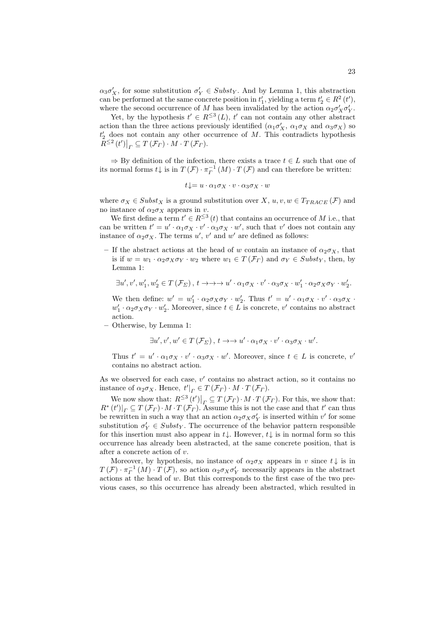$\alpha_3 \sigma'_X$ , for some substitution  $\sigma'_Y \in Subst_Y$ . And by Lemma 1, this abstraction can be performed at the same concrete position in  $t'_1$ , yielding a term  $t'_2 \in R^2(t')$ , where the second occurrence of M has been invalidated by the action  $\alpha_2 \sigma'_X \sigma'_Y$ .

Yet, by the hypothesis  $t' \in R^{\leq 3}(L)$ ,  $t'$  can not contain any other abstract action than the three actions previously identified  $(\alpha_1 \sigma'_X, \alpha_1 \sigma_X$  and  $\alpha_3 \sigma_X)$  so  $t'_2$  does not contain any other occurrence of M. This contradicts hypothesis  $R^{\leq 2}(t')\big|_T \subseteq T(\mathcal{F}_T) \cdot M \cdot T(\mathcal{F}_T).$ 

 $\Rightarrow$  By definition of the infection, there exists a trace  $t \in L$  such that one of its normal forms  $t \downarrow$  is in  $T(\mathcal{F}) \cdot \pi_F^{-1}(M) \cdot T(\mathcal{F})$  and can therefore be written:

$$
t\!\downarrow = u\cdot \alpha_1 \sigma_X \cdot v\cdot \alpha_3 \sigma_X \cdot w
$$

where  $\sigma_X \in Subst_X$  is a ground substitution over X,  $u, v, w \in T_{TRACE}(\mathcal{F})$  and no instance of  $\alpha_2 \sigma_X$  appears in v.

We first define a term  $t' \in R^{\leq 3}(t)$  that contains an occurrence of M i.e., that can be written  $t' = u' \cdot \alpha_1 \sigma_X \cdot v' \cdot \alpha_3 \sigma_X \cdot w'$ , such that v' does not contain any instance of  $\alpha_2 \sigma_X$ . The terms  $u'$ ,  $v'$  and  $w'$  are defined as follows:

– If the abstract actions at the head of w contain an instance of  $\alpha_2 \sigma_X$ , that is if  $w = w_1 \cdot \alpha_2 \sigma_X \sigma_Y \cdot w_2$  where  $w_1 \in T(\mathcal{F}_\Gamma)$  and  $\sigma_Y \in Subst_Y$ , then, by Lemma 1:

$$
\exists u',v',w_1',w_2' \in T(\mathcal{F}_{\Sigma}),\, t \rightarrow \rightarrow \rightarrow u' \cdot \alpha_1 \sigma_X \cdot v' \cdot \alpha_3 \sigma_X \cdot w_1' \cdot \alpha_2 \sigma_X \sigma_Y \cdot w_2'.
$$

We then define:  $w' = w'_1 \cdot \alpha_2 \sigma_X \sigma_Y \cdot w'_2$ . Thus  $t' = u' \cdot \alpha_1 \sigma_X \cdot v' \cdot \alpha_3 \sigma_X \cdot v''$  $w'_1 \cdot \alpha_2 \sigma_X \sigma_Y \cdot w'_2$ . Moreover, since  $t \in L$  is concrete, v' contains no abstract action.

– Otherwise, by Lemma 1:

$$
\exists u', v', w' \in T(\mathcal{F}_{\Sigma}), t \rightarrow v' \cdot \alpha_1 \sigma_X \cdot v' \cdot \alpha_3 \sigma_X \cdot w'.
$$

Thus  $t' = u' \cdot \alpha_1 \sigma_X \cdot v' \cdot \alpha_3 \sigma_X \cdot w'$ . Moreover, since  $t \in L$  is concrete, v' contains no abstract action.

As we observed for each case,  $v'$  contains no abstract action, so it contains no instance of  $\alpha_2 \sigma_X$ . Hence,  $t'|_{\Gamma} \in T(\mathcal{F}_{\Gamma}) \cdot M \cdot T(\mathcal{F}_{\Gamma})$ .

We now show that:  $R^{\leq 3}(t')|_{\Gamma} \subseteq T(\mathcal{F}_{\Gamma}) \cdot M \cdot T(\mathcal{F}_{\Gamma})$ . For this, we show that:  $R^*(t')|_{\Gamma} \subseteq T(\mathcal{F}_{\Gamma}) \cdot M \cdot T(\mathcal{F}_{\Gamma})$ . Assume this is not the case and that  $t'$  can thus be rewritten in such a way that an action  $\alpha_2 \sigma_X \sigma'_Y$  is inserted within  $v'$  for some substitution  $\sigma'_Y \in Subst_Y$ . The occurrence of the behavior pattern responsible for this insertion must also appear in  $t\downarrow$ . However,  $t\downarrow$  is in normal form so this occurrence has already been abstracted, at the same concrete position, that is after a concrete action of v.

Moreover, by hypothesis, no instance of  $\alpha_2 \sigma_X$  appears in v since  $t \downarrow$  is in  $T(\mathcal{F}) \cdot \pi_F^{-1}(M) \cdot T(\mathcal{F})$ , so action  $\alpha_2 \sigma_X \sigma'_Y$  necessarily appears in the abstract actions at the head of  $w$ . But this corresponds to the first case of the two previous cases, so this occurrence has already been abstracted, which resulted in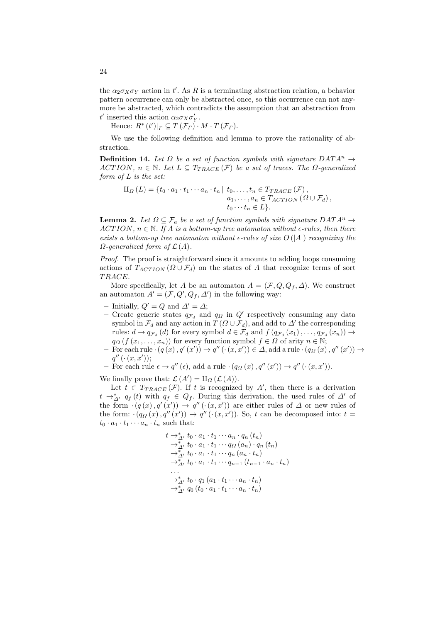the  $\alpha_2 \sigma_X \sigma_Y$  action in t'. As R is a terminating abstraction relation, a behavior pattern occurrence can only be abstracted once, so this occurrence can not anymore be abstracted, which contradicts the assumption that an abstraction from *t'* inserted this action  $\alpha_2 \sigma_X \sigma'_Y$ .

Hence:  $R^*(t')|_{\Gamma} \subseteq T(\mathcal{F}_{\Gamma}) \cdot M \cdot T(\mathcal{F}_{\Gamma}).$ 

We use the following definition and lemma to prove the rationality of abstraction.

**Definition 14.** Let  $\Omega$  be a set of function symbols with signature  $DATA^n \rightarrow$ ACTION,  $n \in \mathbb{N}$ . Let  $L \subseteq T_{TRACE}(\mathcal{F})$  be a set of traces. The  $\Omega$ -generalized *form of* L *is the set:*

$$
\Pi_{\Omega}(L) = \{t_0 \cdot a_1 \cdot t_1 \cdots a_n \cdot t_n \mid t_0, \ldots, t_n \in T_{TRACE}(\mathcal{F}),
$$
  
\n
$$
a_1, \ldots, a_n \in T_{ACTION}(\Omega \cup \mathcal{F}_d),
$$
  
\n
$$
t_0 \cdots t_n \in L\}.
$$

**Lemma 2.** Let  $\Omega \subseteq \mathcal{F}_a$  be a set of function symbols with signature  $DATA^n \to$  $ACTION, n \in \mathbb{N}$ . If A is a bottom-up tree automaton without  $\epsilon$ -rules, then there *exists a bottom-up tree automaton without*  $\epsilon$ *-rules of size*  $O(|A|)$  *recognizing the*  $\Omega$ -generalized form of  $\mathcal{L}(A)$ .

*Proof.* The proof is straightforward since it amounts to adding loops consuming actions of  $T_{ACTION}$  ( $\Omega \cup \mathcal{F}_d$ ) on the states of A that recognize terms of sort T RACE.

More specifically, let A be an automaton  $A = (\mathcal{F}, Q, Q_f, \Delta)$ . We construct an automaton  $A' = (\mathcal{F}, Q', Q_f, \Delta')$  in the following way:

- Initially,  $Q' = Q$  and  $\Delta' = \Delta$ ;
- Create generic states  $q_{\mathcal{F}_d}$  and  $q_{\Omega}$  in  $Q'$  respectively consuming any data symbol in  $\mathcal{F}_d$  and any action in  $T(\Omega \cup \mathcal{F}_d)$ , and add to  $\Delta'$  the corresponding rules:  $d \to q_{\mathcal{F}_d}(d)$  for every symbol  $d \in \mathcal{F}_d$  and  $f(q_{\mathcal{F}_d}(x_1), \ldots, q_{\mathcal{F}_d}(x_n)) \to$  $q_{\Omega}$  (f  $(x_1, \ldots, x_n)$ ) for every function symbol  $f \in \Omega$  of arity  $n \in \mathbb{N}$ ;
- $-$  For each rule  $\cdot (q(x), q'(x')) \rightarrow q''(\cdot (x, x')) \in \Delta$ , add a rule  $\cdot (q_{\Omega}(x), q''(x')) \rightarrow$  $q''(\cdot(x,x'));$
- For each rule  $\epsilon \to q''(\epsilon)$ , add a rule  $(q_{\Omega}(x), q''(x')) \to q''(\cdot(x, x')).$

We finally prove that:  $\mathcal{L}(A') = \amalg_{\Omega} (\mathcal{L}(A)).$ 

Let  $t \in T_{TRACE}(\mathcal{F})$ . If t is recognized by A', then there is a derivation  $t \rightarrow_{\Delta'}^* q_f(t)$  with  $q_f \in Q_f$ . During this derivation, the used rules of  $\Delta'$  of the form  $\cdot (q(x), q'(x')) \rightarrow q''(\cdot (x, x'))$  are either rules of  $\Delta$  or new rules of the form:  $(q_{\Omega}(x), q''(x')) \rightarrow q''(\cdot(x, x'))$ . So, t can be decomposed into: t =  $t_0 \cdot a_1 \cdot t_1 \cdots a_n \cdot t_n$  such that:

$$
t \rightarrow_{\Delta'}^* t_0 \cdot a_1 \cdot t_1 \cdots a_n \cdot q_n (t_n)
$$
  
\n
$$
\rightarrow_{\Delta'}^* t_0 \cdot a_1 \cdot t_1 \cdots q_{\Omega} (a_n) \cdot q_n (t_n)
$$
  
\n
$$
\rightarrow_{\Delta'}^* t_0 \cdot a_1 \cdot t_1 \cdots q_n (a_n \cdot t_n)
$$
  
\n
$$
\rightarrow_{\Delta'}^* t_0 \cdot a_1 \cdot t_1 \cdots q_{n-1} (t_{n-1} \cdot a_n \cdot t_n)
$$
  
\n...  
\n
$$
\rightarrow_{\Delta'}^* t_0 \cdot q_1 (a_1 \cdot t_1 \cdots a_n \cdot t_n)
$$
  
\n
$$
\rightarrow_{\Delta'}^* q_0 (t_0 \cdot a_1 \cdot t_1 \cdots a_n \cdot t_n)
$$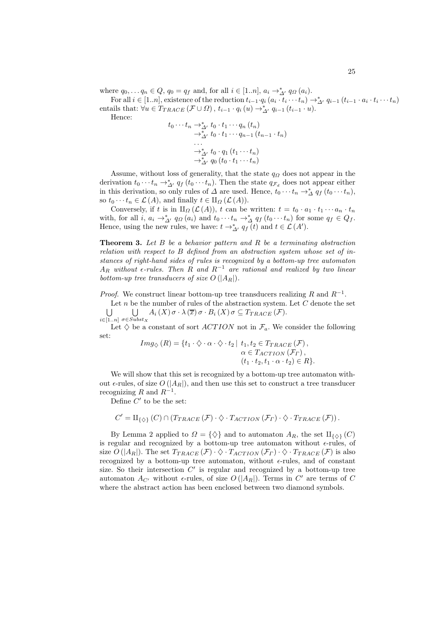where  $q_0, \ldots q_n \in Q$ ,  $q_0 = q_f$  and, for all  $i \in [1..n]$ ,  $a_i \rightarrow^*_{\Delta'} q_{\Omega}(a_i)$ .

For all  $i \in [1..n]$ , existence of the reduction  $t_{i-1} \cdot q_i (a_i \cdot t_i \cdots t_n) \rightarrow^*_{\Delta'} q_{i-1} (t_{i-1} \cdot a_i \cdot t_i \cdots t_n)$ entails that:  $\forall u \in T_{TRACE}(\mathcal{F} \cup \Omega), t_{i-1} \cdot q_i(u) \rightarrow^*_{\Delta'} q_{i-1} (t_{i-1} \cdot u).$ 

Hence:

$$
t_0 \cdots t_n \rightarrow^*_{\Delta'} t_0 \cdot t_1 \cdots q_n (t_n)
$$
  
\n
$$
\rightarrow^*_{\Delta'} t_0 \cdot t_1 \cdots q_{n-1} (t_{n-1} \cdot t_n)
$$
  
\n...  
\n
$$
\rightarrow^*_{\Delta'} t_0 \cdot q_1 (t_1 \cdots t_n)
$$
  
\n
$$
\rightarrow^*_{\Delta'} q_0 (t_0 \cdot t_1 \cdots t_n)
$$

Assume, without loss of generality, that the state  $q_{\Omega}$  does not appear in the derivation  $t_0 \cdots t_n \to_{\Delta'}^* q_f(t_0 \cdots t_n)$ . Then the state  $q_{\mathcal{F}_d}$  does not appear either in this derivation, so only rules of  $\Delta$  are used. Hence,  $t_0 \cdots t_n \rightarrow^*_{\Delta} q_f(t_0 \cdots t_n)$ , so  $t_0 \cdots t_n \in \mathcal{L}(A)$ , and finally  $t \in \amalg_{\Omega} (\mathcal{L}(A)).$ 

Conversely, if t is in  $\text{II}_{\Omega}(\mathcal{L}(A))$ , t can be written:  $t = t_0 \cdot a_1 \cdot t_1 \cdots a_n \cdot t_n$ with, for all  $i, a_i \rightarrow_{\Delta'}^* q_{\Omega}(a_i)$  and  $t_0 \cdots t_n \rightarrow_{\Delta}^* q_f(t_0 \cdots t_n)$  for some  $q_f \in Q_f$ . Hence, using the new rules, we have:  $t \to_{\Delta'}^* q_f(t)$  and  $t \in \mathcal{L}(A')$ .

Theorem 3. *Let* B *be a behavior pattern and* R *be a terminating abstraction relation with respect to* B *defined from an abstraction system whose set of instances of right-hand sides of rules is recognized by a bottom-up tree automaton*  $A_R$  *without*  $\epsilon$ -rules. Then  $\tilde{R}$  and  $R^{-1}$  are rational and realized by two linear *bottom-up tree transducers of size*  $O(|A_R|)$ *.* 

*Proof.* We construct linear bottom-up tree transducers realizing R and  $R^{-1}$ .

Let  $n$  be the number of rules of the abstraction system. Let  $C$  denote the set  $\cup$  $i \in [1..n]$   $\sigma \in Subst_X$  $\cup$  $A_i(X) \sigma \cdot \lambda(\overline{x}) \sigma \cdot B_i(X) \sigma \subseteq T_{TRACE}(\mathcal{F}).$ 

Let  $\diamondsuit$  be a constant of sort *ACTION* not in  $\mathcal{F}_a$ . We consider the following set:

$$
Img_{\diamondsuit}(R) = \{t_1 \cdot \diamondsuit \cdot \alpha \cdot \diamondsuit \cdot t_2 \mid t_1, t_2 \in T_{TRACE}(\mathcal{F}),
$$
  
\n
$$
\alpha \in T_{ACTION}(\mathcal{F}_{\Gamma}),
$$
  
\n
$$
(t_1 \cdot t_2, t_1 \cdot \alpha \cdot t_2) \in R\}.
$$

We will show that this set is recognized by a bottom-up tree automaton without  $\epsilon$ -rules, of size  $O(|A_R|)$ , and then use this set to construct a tree transducer recognizing R and  $R^{-1}$ .

Define  $C'$  to be the set:

$$
C' = \amalg_{\{\diamondsuit\}}(C) \cap (T_{TRACE}(\mathcal{F}) \cdot \diamondsuit \cdot T_{ACTION}(\mathcal{F}_{\Gamma}) \cdot \diamondsuit \cdot T_{TRACE}(\mathcal{F})).
$$

By Lemma 2 applied to  $\Omega = \{ \diamondsuit \}$  and to automaton  $A_R$ , the set  $\amalg_{\{ \diamondsuit \}}(C)$ is regular and recognized by a bottom-up tree automaton without  $\epsilon$ -rules, of size  $O(|A_R|)$ . The set  $T_{TRACE}(\mathcal{F}) \cdot \Diamond \cdot T_{ACTION}(\mathcal{F}_\Gamma) \cdot \Diamond \cdot T_{TRACE}(\mathcal{F})$  is also recognized by a bottom-up tree automaton, without  $\epsilon$ -rules, and of constant size. So their intersection  $C'$  is regular and recognized by a bottom-up tree automaton  $A_{C'}$  without  $\epsilon$ -rules, of size  $O(|A_R|)$ . Terms in  $C'$  are terms of  $C$ where the abstract action has been enclosed between two diamond symbols.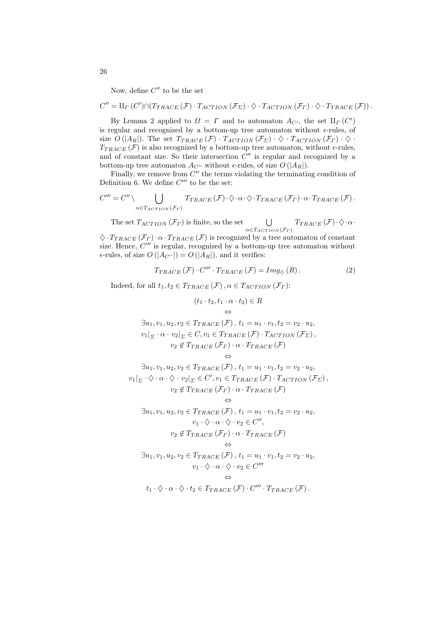Now, define  $C''$  to be the set

$$
C'' = \amalg_{\Gamma} (C') \cap (T_{TRACE}(\mathcal{F}) \cdot T_{ACTION}(\mathcal{F}_{\Sigma}) \cdot \diamondsuit \cdot T_{ACTION}(\mathcal{F}_{\Gamma}) \cdot \diamondsuit \cdot T_{TRACE}(\mathcal{F})).
$$

By Lemma 2 applied to  $\Omega = \Gamma$  and to automaton  $A_{C'}$ , the set  $\mathfrak{U}_{\Gamma}(C')$ is regular and recognized by a bottom-up tree automaton without  $\epsilon$ -rules, of size  $O(|A_R|)$ . The set  $T_{TRACE}(\mathcal{F}) \cdot T_{ACTION}(\mathcal{F}_{\Sigma}) \cdot \Diamond \cdot T_{ACTION}(\mathcal{F}_{\Gamma}) \cdot \Diamond \cdot$  $T_{TRACE}(\mathcal{F})$  is also recognized by a bottom-up tree automaton, without  $\epsilon$ -rules, and of constant size. So their intersection  $C''$  is regular and recognized by a bottom-up tree automaton  $A_{C}$ <sup>'</sup> without  $\epsilon$ -rules, of size  $O(|A_R|)$ .

Finally, we remove from  $C''$  the terms violating the terminating condition of Definition 6. We define  $C'''$  to be the set:

$$
C''' = C'' \setminus \bigcup_{\alpha \in T_{ACTION}(\mathcal{F}_\Gamma)} T_{TRACE}(\mathcal{F}) \cdot \diamondsuit \cdot \alpha \cdot \diamondsuit \cdot T_{TRACE}(\mathcal{F}_\Gamma) \cdot \alpha \cdot T_{TRACE}(\mathcal{F}).
$$

The set  $T_{ACTION}(\mathcal{F}_{\Gamma})$  is finite, so the set  $\bigcup_{\alpha \in T_{ACTION}(\mathcal{F}_\Gamma)} T_{TRACE}(\mathcal{F}) \cdot \Diamond \cdot \alpha \cdot$ 

 $\Diamond \cdot T_{TRACE}(\mathcal{F}_{\Gamma}) \cdot \alpha \cdot T_{TRACE}(\mathcal{F})$  is recognized by a tree automaton of constant size. Hence,  $C'''$  is regular, recognized by a bottom-up tree automaton without  $\epsilon$ -rules, of size  $O(|A_{C''}|) = O(|A_R|)$ , and it verifies:

$$
T_{TRACE}(\mathcal{F}) \cdot C''' \cdot T_{TRACE}(\mathcal{F}) = Img_{\diamondsuit}(R). \tag{2}
$$

Indeed, for all  $t_1, t_2 \in T_{TRACE}(\mathcal{F}), \alpha \in T_{ACTION}(\mathcal{F}_{\Gamma})$ :

$$
(t_1 \cdot t_2, t_1 \cdot \alpha \cdot t_2) \in R
$$
\n
$$
\Leftrightarrow
$$
\n
$$
\exists u_1, v_1, u_2, v_2 \in T_{TRACE}(\mathcal{F}), t_1 = u_1 \cdot v_1, t_2 = v_2 \cdot u_2,
$$
\n
$$
v_1|_{\Sigma} \cdot \alpha \cdot v_2|_{\Sigma} \in C, v_1 \in T_{TRACE}(\mathcal{F}) \cdot T_{ACTION}(\mathcal{F}_{\Sigma}),
$$
\n
$$
v_2 \notin T_{TRACE}(\mathcal{F}_{\Gamma}) \cdot \alpha \cdot T_{TRACE}(\mathcal{F})
$$
\n
$$
\Leftrightarrow
$$
\n
$$
\exists u_1, v_1, u_2, v_2 \in T_{TRACE}(\mathcal{F}), t_1 = u_1 \cdot v_1, t_2 = v_2 \cdot u_2,
$$
\n
$$
v_1|_{\Sigma} \cdot \Diamond \cdot \alpha \cdot \Diamond \cdot v_2|_{\Sigma} \in C', v_1 \in T_{TRACE}(\mathcal{F}) \cdot T_{ACTION}(\mathcal{F}_{\Sigma}),
$$
\n
$$
v_2 \notin T_{TRACE}(\mathcal{F}_{\Gamma}) \cdot \alpha \cdot T_{TRACE}(\mathcal{F})
$$
\n
$$
\Leftrightarrow
$$
\n
$$
\exists u_1, v_1, u_2, v_2 \in T_{TRACE}(\mathcal{F}), t_1 = u_1 \cdot v_1, t_2 = v_2 \cdot u_2,
$$
\n
$$
v_1 \cdot \Diamond \cdot \alpha \cdot \Diamond \cdot v_2 \in C'',
$$
\n
$$
\psi_2 \notin T_{TRACE}(\mathcal{F}_{\Gamma}) \cdot \alpha \cdot T_{TRACE}(\mathcal{F})
$$
\n
$$
\Leftrightarrow
$$
\n
$$
\exists u_1, v_1, u_2, v_2 \in T_{TRACE}(\mathcal{F}), t_1 = u_1 \cdot v_1, t_2 = v_2 \cdot u_2,
$$
\n
$$
v_1 \cdot \Diamond \cdot \alpha \cdot \Diamond \cdot v_2 \in C'''
$$
\n
$$
\Leftrightarrow
$$
\n
$$
t_1 \cdot \Diamond \cdot \alpha \cdot \Diamond \cdot t_2 \in T_{TRACE}(\mathcal{F}) \cdot C''' \cdot T_{TRACE}(\mathcal
$$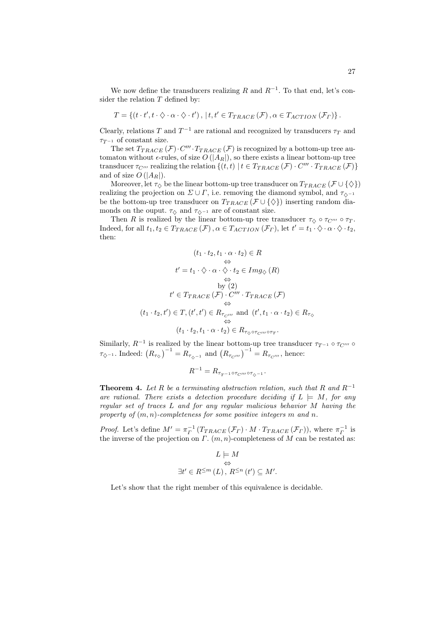We now define the transducers realizing R and  $R^{-1}$ . To that end, let's consider the relation  $T$  defined by:

$$
T = \{ (t \cdot t', t \cdot \Diamond \cdot \alpha \cdot \Diamond \cdot t'), \mid t, t' \in T_{TRACE}(\mathcal{F}), \alpha \in T_{ACTION}(\mathcal{F}_{\Gamma}) \}.
$$

Clearly, relations T and  $T^{-1}$  are rational and recognized by transducers  $\tau_T$  and  $\tau_{T^{-1}}$  of constant size.

The set  $T_{TRACE}(\mathcal{F})\cdot C''' \cdot T_{TRACE}(\mathcal{F})$  is recognized by a bottom-up tree automaton without  $\epsilon$ -rules, of size  $O(|A_R|)$ , so there exists a linear bottom-up tree transducer  $\tau_{C'''}$  realizing the relation  $\{(t,t) | t \in T_{TRACE}(\mathcal{F}) \cdot C''' \cdot T_{TRACE}(\mathcal{F})\}$ and of size  $O(|A_R|)$ .

Moreover, let  $\tau_{\diamond}$  be the linear bottom-up tree transducer on  $T_{TRACE}$  ( $\mathcal{F} \cup \{\diamondsuit\}$ ) realizing the projection on  $\Sigma \cup \Gamma$ , i.e. removing the diamond symbol, and  $\tau_{\diamond}$ -1 be the bottom-up tree transducer on  $T_{TRACE}(\mathcal{F} \cup {\{\&\}})$  inserting random diamonds on the ouput.  $\tau_{\Diamond}$  and  $\tau_{\Diamond^{-1}}$  are of constant size.

Then R is realized by the linear bottom-up tree transducer  $\tau_{\diamond} \circ \tau_{C'''} \circ \tau_T$ . Indeed, for all  $t_1, t_2 \in T_{TRACE}(\mathcal{F}), \alpha \in T_{ACTION}(\mathcal{F}_{\Gamma}),$  let  $t' = t_1 \cdot \Diamond \cdot \alpha \cdot \Diamond \cdot t_2$ , then:

$$
(t_1 \cdot t_2, t_1 \cdot \alpha \cdot t_2) \in R
$$
  
\n
$$
\Leftrightarrow
$$
  
\n
$$
t' = t_1 \cdot \Diamond \cdot \alpha \cdot \Diamond \cdot t_2 \in Img_{\Diamond}(R)
$$
  
\n
$$
\Leftrightarrow
$$
  
\nby (2)  
\n
$$
t' \in T_{TRACE}(\mathcal{F}) \cdot C''' \cdot T_{TRACE}(\mathcal{F})
$$
  
\n
$$
\Leftrightarrow
$$
  
\n
$$
(t_1 \cdot t_2, t') \in T, (t', t') \in R_{\tau_{C'''}} \text{ and } (t', t_1 \cdot \alpha \cdot t_2) \in R_{\tau_{\Diamond}} \Leftrightarrow
$$
  
\n
$$
(t_1 \cdot t_2, t_1 \cdot \alpha \cdot t_2) \in R_{\tau_{\Diamond} \circ \tau_{C'''} \circ \tau_T}.
$$

Similarly,  $R^{-1}$  is realized by the linear bottom-up tree transducer  $\tau_{T^{-1}} \circ \tau_{C'''} \circ$  $\tau_{\diamondsuit^{-1}}$ . Indeed:  $(R_{\tau_{\diamondsuit}})^{-1} = R_{\tau_{\diamondsuit^{-1}}}$  and  $(R_{\tau_{\circ C'''}})^{-1} = R_{\tau_{\circ'''}}$ , hence:

$$
R^{-1} = R_{\tau_{T^{-1}} \circ \tau_{C'''} \circ \tau_{\diamondsuit^{-1}}}.
$$

**Theorem 4.** Let R be a terminating abstraction relation, such that R and  $R^{-1}$ are rational. There exists a detection procedure deciding if  $L \models M$ , for any *regular set of traces* L *and for any regular malicious behavior* M *having the property of* (m, n)*-completeness for some positive integers* m *and* n*.*

*Proof.* Let's define  $M' = \pi_P^{-1} (T_{TRACE}(\mathcal{F}_\Gamma) \cdot M \cdot T_{TRACE}(\mathcal{F}_\Gamma))$ , where  $\pi_P^{-1}$  is the inverse of the projection on  $\Gamma$ .  $(m, n)$ -completeness of M can be restated as:

$$
\begin{aligned} L &\models M \\ &\Leftrightarrow \\ \exists t' \in R^{\leq m} \left( L \right), \, R^{\leq n} \left( t' \right) \subseteq M'. \end{aligned}
$$

Let's show that the right member of this equivalence is decidable.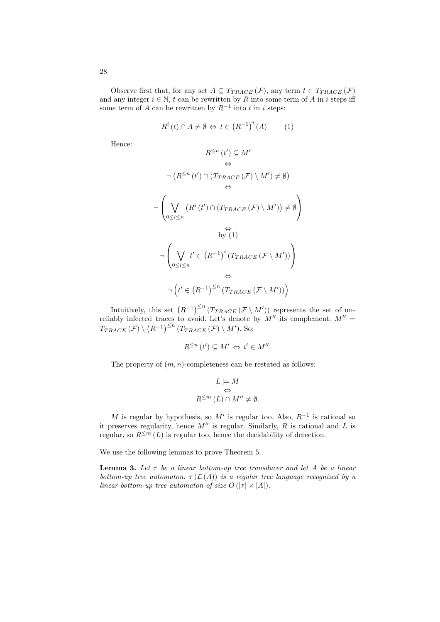Observe first that, for any set  $A \subseteq T_{TRACE}(\mathcal{F})$ , any term  $t \in T_{TRACE}(\mathcal{F})$ and any integer  $i \in \mathbb{N}$ , t can be rewritten by R into some term of A in i steps iff some term of A can be rewritten by  $R^{-1}$  into t in i steps:

$$
R^{i}(t) \cap A \neq \emptyset \Leftrightarrow t \in (R^{-1})^{i}(A) \qquad (1)
$$

Hence:

$$
R^{\leq n} (t') \subseteq M'
$$
\n
$$
\Leftrightarrow
$$
\n
$$
\neg (R^{\leq n} (t') \cap (T_{TRACE}(\mathcal{F}) \setminus M') \neq \emptyset)
$$
\n
$$
\Leftrightarrow
$$
\n
$$
\neg \left( \bigvee_{0 \leq i \leq n} (R^i (t') \cap (T_{TRACE}(\mathcal{F}) \setminus M')) \neq \emptyset \right)
$$
\n
$$
\Leftrightarrow
$$
\n
$$
\log(1)
$$
\n
$$
\neg \left( \bigvee_{0 \leq i \leq n} t' \in (R^{-1})^i (T_{TRACE}(\mathcal{F} \setminus M')) \right)
$$
\n
$$
\Leftrightarrow
$$
\n
$$
\neg (t' \in (R^{-1})^{\leq n} (T_{TRACE}(\mathcal{F} \setminus M')))
$$

Intuitively, this set  $(R^{-1})^{\leq n}$   $(T_{TRACE}(\mathcal{F} \setminus M'))$  represents the set of unreliably infected traces to avoid. Let's denote by  $M''$  its complement:  $M'' =$  $T_{TRACE}(\mathcal{F})\setminus (R^{-1})^{\leq n}$   $(T_{TRACE}(\mathcal{F})\setminus M')$ . So:

$$
R^{\leq n}(t') \subseteq M' \Leftrightarrow t' \in M''.
$$

The property of  $(m, n)$ -completeness can be restated as follows:

$$
L \models M
$$
  

$$
\Leftrightarrow
$$
  

$$
R^{\leq m} (L) \cap M'' \neq \emptyset.
$$

M is regular by hypothesis, so  $M'$  is regular too. Also,  $R^{-1}$  is rational so it preserves regularity, hence  $M''$  is regular. Similarly,  $R$  is rational and  $L$  is regular, so  $R^{\leq m}(L)$  is regular too, hence the decidability of detection.

We use the following lemmas to prove Theorem 5.

Lemma 3. *Let* τ *be a linear bottom-up tree transducer and let* A *be a linear bottom-up tree automaton.*  $\tau(\mathcal{L}(A))$  *is a regular tree language recognized by a linear bottom-up tree automaton of size*  $O(|\tau| \times |A|)$ *.*